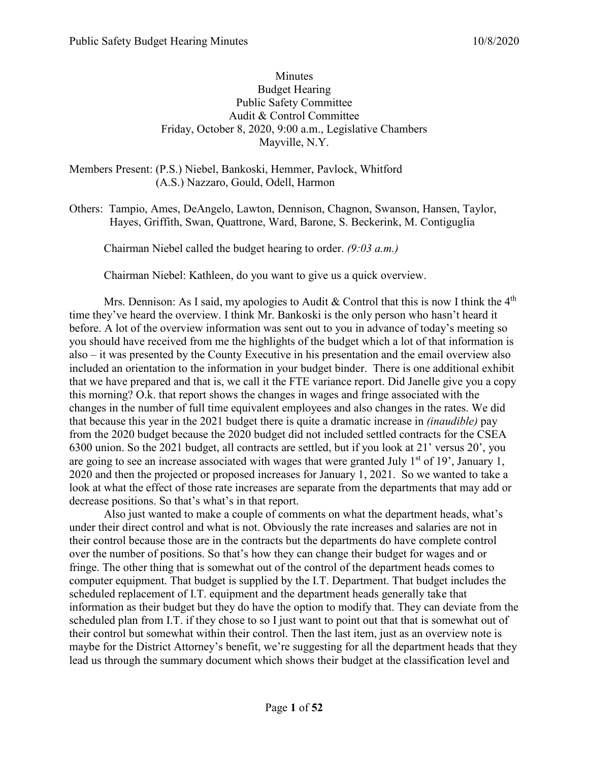# **Minutes** Budget Hearing Public Safety Committee Audit & Control Committee Friday, October 8, 2020, 9:00 a.m., Legislative Chambers Mayville, N.Y.

Members Present: (P.S.) Niebel, Bankoski, Hemmer, Pavlock, Whitford (A.S.) Nazzaro, Gould, Odell, Harmon

Others: Tampio, Ames, DeAngelo, Lawton, Dennison, Chagnon, Swanson, Hansen, Taylor, Hayes, Griffith, Swan, Quattrone, Ward, Barone, S. Beckerink, M. Contiguglia

Chairman Niebel called the budget hearing to order. *(9:03 a.m.)*

Chairman Niebel: Kathleen, do you want to give us a quick overview.

Mrs. Dennison: As I said, my apologies to Audit & Control that this is now I think the  $4<sup>th</sup>$ time they've heard the overview. I think Mr. Bankoski is the only person who hasn't heard it before. A lot of the overview information was sent out to you in advance of today's meeting so you should have received from me the highlights of the budget which a lot of that information is also – it was presented by the County Executive in his presentation and the email overview also included an orientation to the information in your budget binder. There is one additional exhibit that we have prepared and that is, we call it the FTE variance report. Did Janelle give you a copy this morning? O.k. that report shows the changes in wages and fringe associated with the changes in the number of full time equivalent employees and also changes in the rates. We did that because this year in the 2021 budget there is quite a dramatic increase in *(inaudible)* pay from the 2020 budget because the 2020 budget did not included settled contracts for the CSEA 6300 union. So the 2021 budget, all contracts are settled, but if you look at 21' versus 20', you are going to see an increase associated with wages that were granted July  $1<sup>st</sup>$  of 19', January 1, 2020 and then the projected or proposed increases for January 1, 2021. So we wanted to take a look at what the effect of those rate increases are separate from the departments that may add or decrease positions. So that's what's in that report.

Also just wanted to make a couple of comments on what the department heads, what's under their direct control and what is not. Obviously the rate increases and salaries are not in their control because those are in the contracts but the departments do have complete control over the number of positions. So that's how they can change their budget for wages and or fringe. The other thing that is somewhat out of the control of the department heads comes to computer equipment. That budget is supplied by the I.T. Department. That budget includes the scheduled replacement of I.T. equipment and the department heads generally take that information as their budget but they do have the option to modify that. They can deviate from the scheduled plan from I.T. if they chose to so I just want to point out that that is somewhat out of their control but somewhat within their control. Then the last item, just as an overview note is maybe for the District Attorney's benefit, we're suggesting for all the department heads that they lead us through the summary document which shows their budget at the classification level and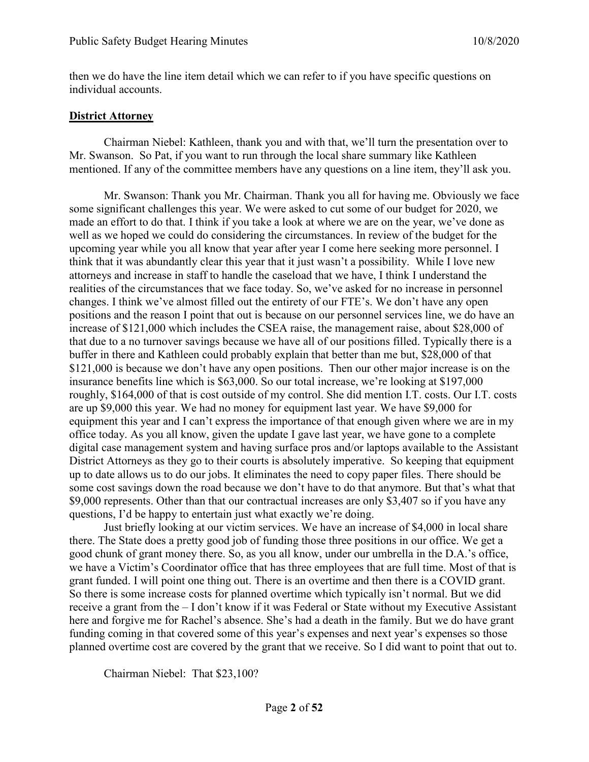then we do have the line item detail which we can refer to if you have specific questions on individual accounts.

### **District Attorney**

Chairman Niebel: Kathleen, thank you and with that, we'll turn the presentation over to Mr. Swanson. So Pat, if you want to run through the local share summary like Kathleen mentioned. If any of the committee members have any questions on a line item, they'll ask you.

Mr. Swanson: Thank you Mr. Chairman. Thank you all for having me. Obviously we face some significant challenges this year. We were asked to cut some of our budget for 2020, we made an effort to do that. I think if you take a look at where we are on the year, we've done as well as we hoped we could do considering the circumstances. In review of the budget for the upcoming year while you all know that year after year I come here seeking more personnel. I think that it was abundantly clear this year that it just wasn't a possibility. While I love new attorneys and increase in staff to handle the caseload that we have, I think I understand the realities of the circumstances that we face today. So, we've asked for no increase in personnel changes. I think we've almost filled out the entirety of our FTE's. We don't have any open positions and the reason I point that out is because on our personnel services line, we do have an increase of \$121,000 which includes the CSEA raise, the management raise, about \$28,000 of that due to a no turnover savings because we have all of our positions filled. Typically there is a buffer in there and Kathleen could probably explain that better than me but, \$28,000 of that \$121,000 is because we don't have any open positions. Then our other major increase is on the insurance benefits line which is \$63,000. So our total increase, we're looking at \$197,000 roughly, \$164,000 of that is cost outside of my control. She did mention I.T. costs. Our I.T. costs are up \$9,000 this year. We had no money for equipment last year. We have \$9,000 for equipment this year and I can't express the importance of that enough given where we are in my office today. As you all know, given the update I gave last year, we have gone to a complete digital case management system and having surface pros and/or laptops available to the Assistant District Attorneys as they go to their courts is absolutely imperative. So keeping that equipment up to date allows us to do our jobs. It eliminates the need to copy paper files. There should be some cost savings down the road because we don't have to do that anymore. But that's what that \$9,000 represents. Other than that our contractual increases are only \$3,407 so if you have any questions, I'd be happy to entertain just what exactly we're doing.

Just briefly looking at our victim services. We have an increase of \$4,000 in local share there. The State does a pretty good job of funding those three positions in our office. We get a good chunk of grant money there. So, as you all know, under our umbrella in the D.A.'s office, we have a Victim's Coordinator office that has three employees that are full time. Most of that is grant funded. I will point one thing out. There is an overtime and then there is a COVID grant. So there is some increase costs for planned overtime which typically isn't normal. But we did receive a grant from the – I don't know if it was Federal or State without my Executive Assistant here and forgive me for Rachel's absence. She's had a death in the family. But we do have grant funding coming in that covered some of this year's expenses and next year's expenses so those planned overtime cost are covered by the grant that we receive. So I did want to point that out to.

Chairman Niebel: That \$23,100?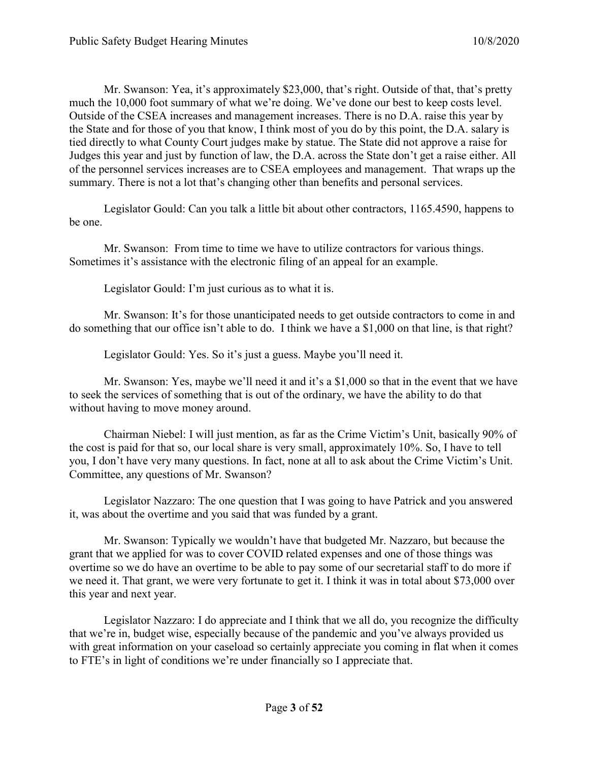Mr. Swanson: Yea, it's approximately \$23,000, that's right. Outside of that, that's pretty much the 10,000 foot summary of what we're doing. We've done our best to keep costs level. Outside of the CSEA increases and management increases. There is no D.A. raise this year by the State and for those of you that know, I think most of you do by this point, the D.A. salary is tied directly to what County Court judges make by statue. The State did not approve a raise for Judges this year and just by function of law, the D.A. across the State don't get a raise either. All of the personnel services increases are to CSEA employees and management. That wraps up the summary. There is not a lot that's changing other than benefits and personal services.

Legislator Gould: Can you talk a little bit about other contractors, 1165.4590, happens to be one.

Mr. Swanson: From time to time we have to utilize contractors for various things. Sometimes it's assistance with the electronic filing of an appeal for an example.

Legislator Gould: I'm just curious as to what it is.

Mr. Swanson: It's for those unanticipated needs to get outside contractors to come in and do something that our office isn't able to do. I think we have a \$1,000 on that line, is that right?

Legislator Gould: Yes. So it's just a guess. Maybe you'll need it.

Mr. Swanson: Yes, maybe we'll need it and it's a \$1,000 so that in the event that we have to seek the services of something that is out of the ordinary, we have the ability to do that without having to move money around.

Chairman Niebel: I will just mention, as far as the Crime Victim's Unit, basically 90% of the cost is paid for that so, our local share is very small, approximately 10%. So, I have to tell you, I don't have very many questions. In fact, none at all to ask about the Crime Victim's Unit. Committee, any questions of Mr. Swanson?

Legislator Nazzaro: The one question that I was going to have Patrick and you answered it, was about the overtime and you said that was funded by a grant.

Mr. Swanson: Typically we wouldn't have that budgeted Mr. Nazzaro, but because the grant that we applied for was to cover COVID related expenses and one of those things was overtime so we do have an overtime to be able to pay some of our secretarial staff to do more if we need it. That grant, we were very fortunate to get it. I think it was in total about \$73,000 over this year and next year.

Legislator Nazzaro: I do appreciate and I think that we all do, you recognize the difficulty that we're in, budget wise, especially because of the pandemic and you've always provided us with great information on your caseload so certainly appreciate you coming in flat when it comes to FTE's in light of conditions we're under financially so I appreciate that.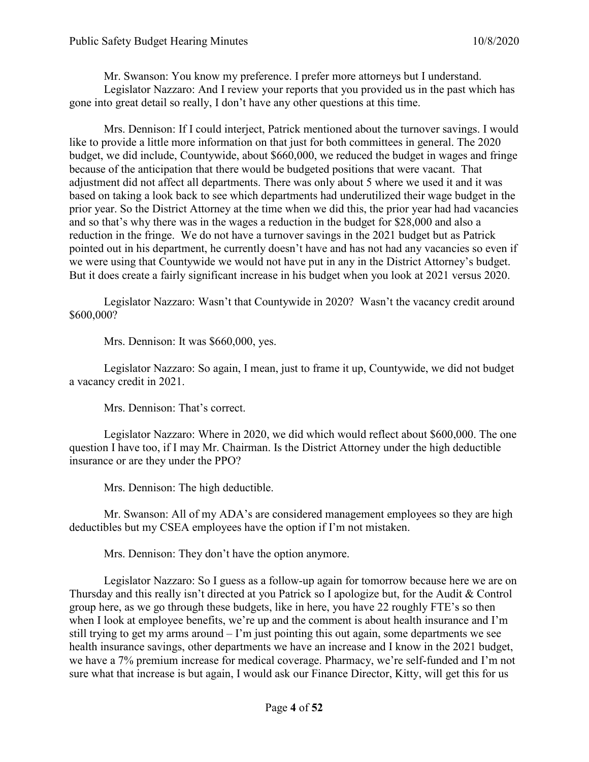Mr. Swanson: You know my preference. I prefer more attorneys but I understand. Legislator Nazzaro: And I review your reports that you provided us in the past which has gone into great detail so really, I don't have any other questions at this time.

Mrs. Dennison: If I could interject, Patrick mentioned about the turnover savings. I would like to provide a little more information on that just for both committees in general. The 2020 budget, we did include, Countywide, about \$660,000, we reduced the budget in wages and fringe because of the anticipation that there would be budgeted positions that were vacant. That adjustment did not affect all departments. There was only about 5 where we used it and it was based on taking a look back to see which departments had underutilized their wage budget in the prior year. So the District Attorney at the time when we did this, the prior year had had vacancies and so that's why there was in the wages a reduction in the budget for \$28,000 and also a reduction in the fringe. We do not have a turnover savings in the 2021 budget but as Patrick pointed out in his department, he currently doesn't have and has not had any vacancies so even if we were using that Countywide we would not have put in any in the District Attorney's budget. But it does create a fairly significant increase in his budget when you look at 2021 versus 2020.

Legislator Nazzaro: Wasn't that Countywide in 2020? Wasn't the vacancy credit around \$600,000?

Mrs. Dennison: It was \$660,000, yes.

Legislator Nazzaro: So again, I mean, just to frame it up, Countywide, we did not budget a vacancy credit in 2021.

Mrs. Dennison: That's correct.

Legislator Nazzaro: Where in 2020, we did which would reflect about \$600,000. The one question I have too, if I may Mr. Chairman. Is the District Attorney under the high deductible insurance or are they under the PPO?

Mrs. Dennison: The high deductible.

Mr. Swanson: All of my ADA's are considered management employees so they are high deductibles but my CSEA employees have the option if I'm not mistaken.

Mrs. Dennison: They don't have the option anymore.

Legislator Nazzaro: So I guess as a follow-up again for tomorrow because here we are on Thursday and this really isn't directed at you Patrick so I apologize but, for the Audit & Control group here, as we go through these budgets, like in here, you have 22 roughly FTE's so then when I look at employee benefits, we're up and the comment is about health insurance and I'm still trying to get my arms around – I'm just pointing this out again, some departments we see health insurance savings, other departments we have an increase and I know in the 2021 budget, we have a 7% premium increase for medical coverage. Pharmacy, we're self-funded and I'm not sure what that increase is but again, I would ask our Finance Director, Kitty, will get this for us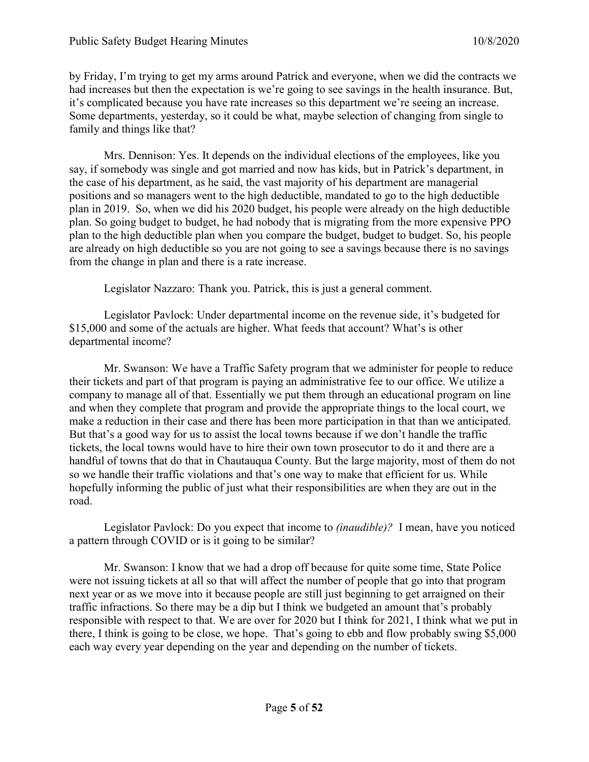by Friday, I'm trying to get my arms around Patrick and everyone, when we did the contracts we had increases but then the expectation is we're going to see savings in the health insurance. But, it's complicated because you have rate increases so this department we're seeing an increase. Some departments, yesterday, so it could be what, maybe selection of changing from single to family and things like that?

Mrs. Dennison: Yes. It depends on the individual elections of the employees, like you say, if somebody was single and got married and now has kids, but in Patrick's department, in the case of his department, as he said, the vast majority of his department are managerial positions and so managers went to the high deductible, mandated to go to the high deductible plan in 2019. So, when we did his 2020 budget, his people were already on the high deductible plan. So going budget to budget, he had nobody that is migrating from the more expensive PPO plan to the high deductible plan when you compare the budget, budget to budget. So, his people are already on high deductible so you are not going to see a savings because there is no savings from the change in plan and there is a rate increase.

Legislator Nazzaro: Thank you. Patrick, this is just a general comment.

Legislator Pavlock: Under departmental income on the revenue side, it's budgeted for \$15,000 and some of the actuals are higher. What feeds that account? What's is other departmental income?

Mr. Swanson: We have a Traffic Safety program that we administer for people to reduce their tickets and part of that program is paying an administrative fee to our office. We utilize a company to manage all of that. Essentially we put them through an educational program on line and when they complete that program and provide the appropriate things to the local court, we make a reduction in their case and there has been more participation in that than we anticipated. But that's a good way for us to assist the local towns because if we don't handle the traffic tickets, the local towns would have to hire their own town prosecutor to do it and there are a handful of towns that do that in Chautauqua County. But the large majority, most of them do not so we handle their traffic violations and that's one way to make that efficient for us. While hopefully informing the public of just what their responsibilities are when they are out in the road.

Legislator Pavlock: Do you expect that income to *(inaudible)?* I mean, have you noticed a pattern through COVID or is it going to be similar?

Mr. Swanson: I know that we had a drop off because for quite some time, State Police were not issuing tickets at all so that will affect the number of people that go into that program next year or as we move into it because people are still just beginning to get arraigned on their traffic infractions. So there may be a dip but I think we budgeted an amount that's probably responsible with respect to that. We are over for 2020 but I think for 2021, I think what we put in there, I think is going to be close, we hope. That's going to ebb and flow probably swing \$5,000 each way every year depending on the year and depending on the number of tickets.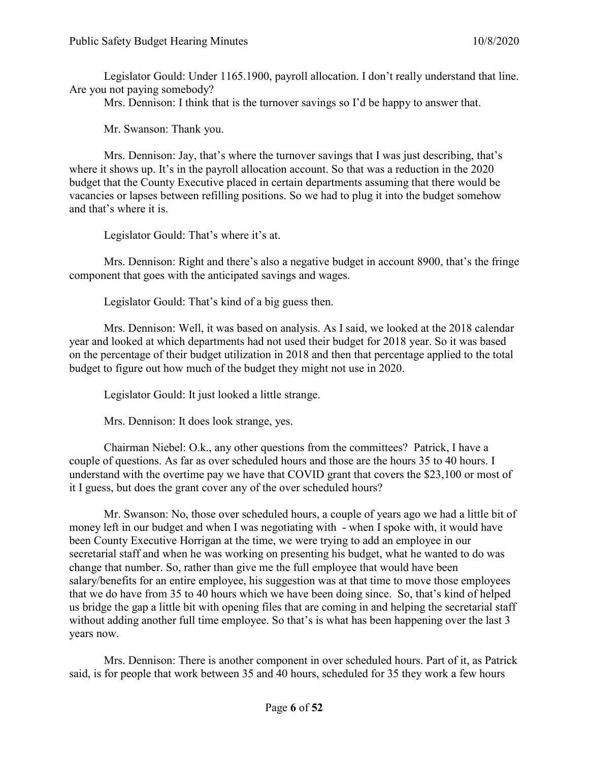Legislator Gould: Under 1165.1900, payroll allocation. I don't really understand that line. Are you not paying somebody?

Mrs. Dennison: I think that is the turnover savings so I'd be happy to answer that.

Mr. Swanson: Thank you.

Mrs. Dennison: Jay, that's where the turnover savings that I was just describing, that's where it shows up. It's in the payroll allocation account. So that was a reduction in the 2020 budget that the County Executive placed in certain departments assuming that there would be vacancies or lapses between refilling positions. So we had to plug it into the budget somehow and that's where it is.

Legislator Gould: That's where it's at.

Mrs. Dennison: Right and there's also a negative budget in account 8900, that's the fringe component that goes with the anticipated savings and wages.

Legislator Gould: That's kind of a big guess then.

Mrs. Dennison: Well, it was based on analysis. As I said, we looked at the 2018 calendar year and looked at which departments had not used their budget for 2018 year. So it was based on the percentage of their budget utilization in 2018 and then that percentage applied to the total budget to figure out how much of the budget they might not use in 2020.

Legislator Gould: It just looked a little strange.

Mrs. Dennison: It does look strange, yes.

Chairman Niebel: O.k., any other questions from the committees? Patrick, I have a couple of questions. As far as over scheduled hours and those are the hours 35 to 40 hours. I understand with the overtime pay we have that COVID grant that covers the \$23,100 or most of it I guess, but does the grant cover any of the over scheduled hours?

Mr. Swanson: No, those over scheduled hours, a couple of years ago we had a little bit of money left in our budget and when I was negotiating with - when I spoke with, it would have been County Executive Horrigan at the time, we were trying to add an employee in our secretarial staff and when he was working on presenting his budget, what he wanted to do was change that number. So, rather than give me the full employee that would have been salary/benefits for an entire employee, his suggestion was at that time to move those employees that we do have from 35 to 40 hours which we have been doing since. So, that's kind of helped us bridge the gap a little bit with opening files that are coming in and helping the secretarial staff without adding another full time employee. So that's is what has been happening over the last 3 years now.

Mrs. Dennison: There is another component in over scheduled hours. Part of it, as Patrick said, is for people that work between 35 and 40 hours, scheduled for 35 they work a few hours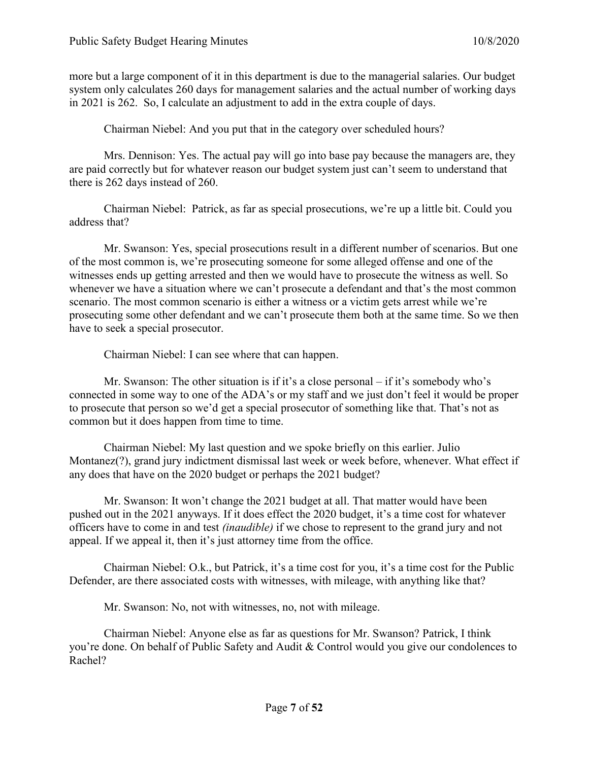more but a large component of it in this department is due to the managerial salaries. Our budget system only calculates 260 days for management salaries and the actual number of working days in 2021 is 262. So, I calculate an adjustment to add in the extra couple of days.

Chairman Niebel: And you put that in the category over scheduled hours?

Mrs. Dennison: Yes. The actual pay will go into base pay because the managers are, they are paid correctly but for whatever reason our budget system just can't seem to understand that there is 262 days instead of 260.

Chairman Niebel: Patrick, as far as special prosecutions, we're up a little bit. Could you address that?

Mr. Swanson: Yes, special prosecutions result in a different number of scenarios. But one of the most common is, we're prosecuting someone for some alleged offense and one of the witnesses ends up getting arrested and then we would have to prosecute the witness as well. So whenever we have a situation where we can't prosecute a defendant and that's the most common scenario. The most common scenario is either a witness or a victim gets arrest while we're prosecuting some other defendant and we can't prosecute them both at the same time. So we then have to seek a special prosecutor.

Chairman Niebel: I can see where that can happen.

Mr. Swanson: The other situation is if it's a close personal – if it's somebody who's connected in some way to one of the ADA's or my staff and we just don't feel it would be proper to prosecute that person so we'd get a special prosecutor of something like that. That's not as common but it does happen from time to time.

Chairman Niebel: My last question and we spoke briefly on this earlier. Julio Montanez(?), grand jury indictment dismissal last week or week before, whenever. What effect if any does that have on the 2020 budget or perhaps the 2021 budget?

Mr. Swanson: It won't change the 2021 budget at all. That matter would have been pushed out in the 2021 anyways. If it does effect the 2020 budget, it's a time cost for whatever officers have to come in and test *(inaudible)* if we chose to represent to the grand jury and not appeal. If we appeal it, then it's just attorney time from the office.

Chairman Niebel: O.k., but Patrick, it's a time cost for you, it's a time cost for the Public Defender, are there associated costs with witnesses, with mileage, with anything like that?

Mr. Swanson: No, not with witnesses, no, not with mileage.

Chairman Niebel: Anyone else as far as questions for Mr. Swanson? Patrick, I think you're done. On behalf of Public Safety and Audit & Control would you give our condolences to Rachel?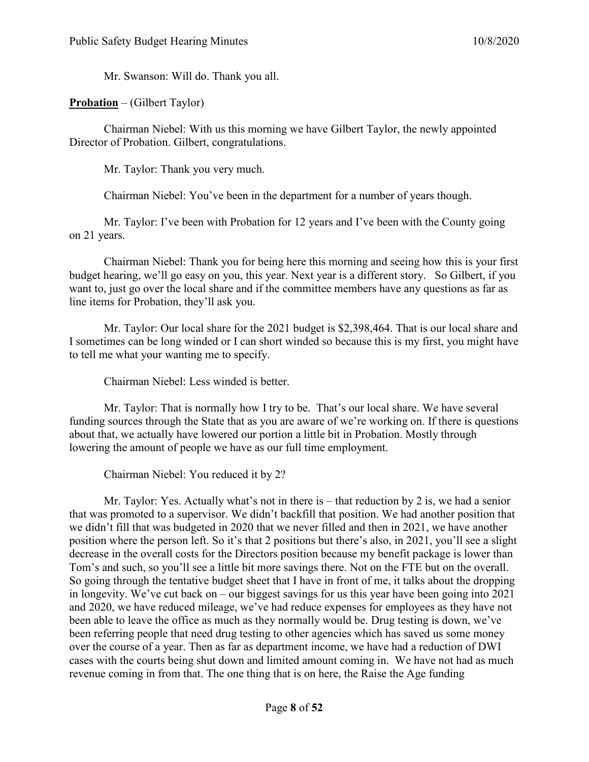Mr. Swanson: Will do. Thank you all.

**Probation** – (Gilbert Taylor)

Chairman Niebel: With us this morning we have Gilbert Taylor, the newly appointed Director of Probation. Gilbert, congratulations.

Mr. Taylor: Thank you very much.

Chairman Niebel: You've been in the department for a number of years though.

Mr. Taylor: I've been with Probation for 12 years and I've been with the County going on 21 years.

Chairman Niebel: Thank you for being here this morning and seeing how this is your first budget hearing, we'll go easy on you, this year. Next year is a different story. So Gilbert, if you want to, just go over the local share and if the committee members have any questions as far as line items for Probation, they'll ask you.

Mr. Taylor: Our local share for the 2021 budget is \$2,398,464. That is our local share and I sometimes can be long winded or I can short winded so because this is my first, you might have to tell me what your wanting me to specify.

Chairman Niebel: Less winded is better.

Mr. Taylor: That is normally how I try to be. That's our local share. We have several funding sources through the State that as you are aware of we're working on. If there is questions about that, we actually have lowered our portion a little bit in Probation. Mostly through lowering the amount of people we have as our full time employment.

Chairman Niebel: You reduced it by 2?

Mr. Taylor: Yes. Actually what's not in there is – that reduction by 2 is, we had a senior that was promoted to a supervisor. We didn't backfill that position. We had another position that we didn't fill that was budgeted in 2020 that we never filled and then in 2021, we have another position where the person left. So it's that 2 positions but there's also, in 2021, you'll see a slight decrease in the overall costs for the Directors position because my benefit package is lower than Tom's and such, so you'll see a little bit more savings there. Not on the FTE but on the overall. So going through the tentative budget sheet that I have in front of me, it talks about the dropping in longevity. We've cut back on – our biggest savings for us this year have been going into 2021 and 2020, we have reduced mileage, we've had reduce expenses for employees as they have not been able to leave the office as much as they normally would be. Drug testing is down, we've been referring people that need drug testing to other agencies which has saved us some money over the course of a year. Then as far as department income, we have had a reduction of DWI cases with the courts being shut down and limited amount coming in. We have not had as much revenue coming in from that. The one thing that is on here, the Raise the Age funding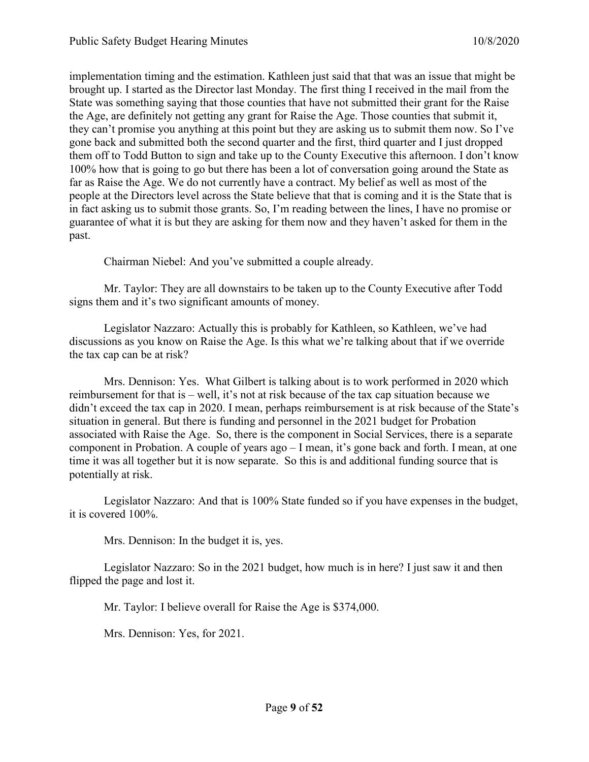implementation timing and the estimation. Kathleen just said that that was an issue that might be brought up. I started as the Director last Monday. The first thing I received in the mail from the State was something saying that those counties that have not submitted their grant for the Raise the Age, are definitely not getting any grant for Raise the Age. Those counties that submit it, they can't promise you anything at this point but they are asking us to submit them now. So I've gone back and submitted both the second quarter and the first, third quarter and I just dropped them off to Todd Button to sign and take up to the County Executive this afternoon. I don't know 100% how that is going to go but there has been a lot of conversation going around the State as far as Raise the Age. We do not currently have a contract. My belief as well as most of the people at the Directors level across the State believe that that is coming and it is the State that is in fact asking us to submit those grants. So, I'm reading between the lines, I have no promise or guarantee of what it is but they are asking for them now and they haven't asked for them in the past.

Chairman Niebel: And you've submitted a couple already.

Mr. Taylor: They are all downstairs to be taken up to the County Executive after Todd signs them and it's two significant amounts of money.

Legislator Nazzaro: Actually this is probably for Kathleen, so Kathleen, we've had discussions as you know on Raise the Age. Is this what we're talking about that if we override the tax cap can be at risk?

Mrs. Dennison: Yes. What Gilbert is talking about is to work performed in 2020 which reimbursement for that is – well, it's not at risk because of the tax cap situation because we didn't exceed the tax cap in 2020. I mean, perhaps reimbursement is at risk because of the State's situation in general. But there is funding and personnel in the 2021 budget for Probation associated with Raise the Age. So, there is the component in Social Services, there is a separate component in Probation. A couple of years  $ago - I$  mean, it's gone back and forth. I mean, at one time it was all together but it is now separate. So this is and additional funding source that is potentially at risk.

Legislator Nazzaro: And that is 100% State funded so if you have expenses in the budget, it is covered 100%.

Mrs. Dennison: In the budget it is, yes.

Legislator Nazzaro: So in the 2021 budget, how much is in here? I just saw it and then flipped the page and lost it.

Mr. Taylor: I believe overall for Raise the Age is \$374,000.

Mrs. Dennison: Yes, for 2021.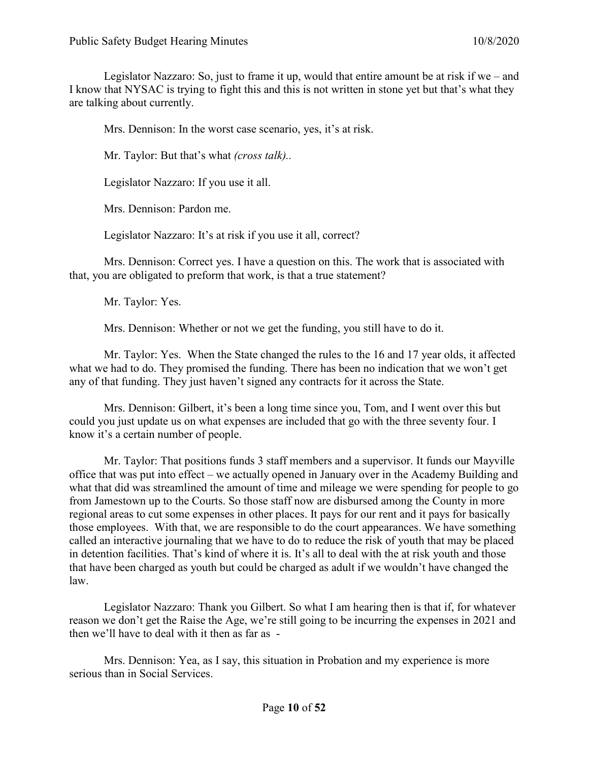Legislator Nazzaro: So, just to frame it up, would that entire amount be at risk if we – and I know that NYSAC is trying to fight this and this is not written in stone yet but that's what they are talking about currently.

Mrs. Dennison: In the worst case scenario, yes, it's at risk.

Mr. Taylor: But that's what *(cross talk)..*

Legislator Nazzaro: If you use it all.

Mrs. Dennison: Pardon me.

Legislator Nazzaro: It's at risk if you use it all, correct?

Mrs. Dennison: Correct yes. I have a question on this. The work that is associated with that, you are obligated to preform that work, is that a true statement?

Mr. Taylor: Yes.

Mrs. Dennison: Whether or not we get the funding, you still have to do it.

Mr. Taylor: Yes. When the State changed the rules to the 16 and 17 year olds, it affected what we had to do. They promised the funding. There has been no indication that we won't get any of that funding. They just haven't signed any contracts for it across the State.

Mrs. Dennison: Gilbert, it's been a long time since you, Tom, and I went over this but could you just update us on what expenses are included that go with the three seventy four. I know it's a certain number of people.

Mr. Taylor: That positions funds 3 staff members and a supervisor. It funds our Mayville office that was put into effect – we actually opened in January over in the Academy Building and what that did was streamlined the amount of time and mileage we were spending for people to go from Jamestown up to the Courts. So those staff now are disbursed among the County in more regional areas to cut some expenses in other places. It pays for our rent and it pays for basically those employees. With that, we are responsible to do the court appearances. We have something called an interactive journaling that we have to do to reduce the risk of youth that may be placed in detention facilities. That's kind of where it is. It's all to deal with the at risk youth and those that have been charged as youth but could be charged as adult if we wouldn't have changed the law.

Legislator Nazzaro: Thank you Gilbert. So what I am hearing then is that if, for whatever reason we don't get the Raise the Age, we're still going to be incurring the expenses in 2021 and then we'll have to deal with it then as far as -

Mrs. Dennison: Yea, as I say, this situation in Probation and my experience is more serious than in Social Services.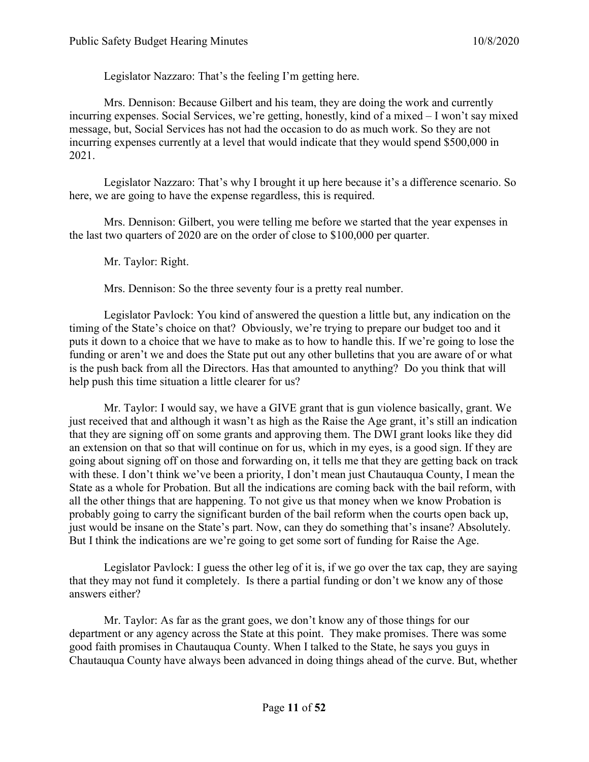Legislator Nazzaro: That's the feeling I'm getting here.

Mrs. Dennison: Because Gilbert and his team, they are doing the work and currently incurring expenses. Social Services, we're getting, honestly, kind of a mixed – I won't say mixed message, but, Social Services has not had the occasion to do as much work. So they are not incurring expenses currently at a level that would indicate that they would spend \$500,000 in 2021.

Legislator Nazzaro: That's why I brought it up here because it's a difference scenario. So here, we are going to have the expense regardless, this is required.

Mrs. Dennison: Gilbert, you were telling me before we started that the year expenses in the last two quarters of 2020 are on the order of close to \$100,000 per quarter.

Mr. Taylor: Right.

Mrs. Dennison: So the three seventy four is a pretty real number.

Legislator Pavlock: You kind of answered the question a little but, any indication on the timing of the State's choice on that? Obviously, we're trying to prepare our budget too and it puts it down to a choice that we have to make as to how to handle this. If we're going to lose the funding or aren't we and does the State put out any other bulletins that you are aware of or what is the push back from all the Directors. Has that amounted to anything? Do you think that will help push this time situation a little clearer for us?

Mr. Taylor: I would say, we have a GIVE grant that is gun violence basically, grant. We just received that and although it wasn't as high as the Raise the Age grant, it's still an indication that they are signing off on some grants and approving them. The DWI grant looks like they did an extension on that so that will continue on for us, which in my eyes, is a good sign. If they are going about signing off on those and forwarding on, it tells me that they are getting back on track with these. I don't think we've been a priority, I don't mean just Chautauqua County, I mean the State as a whole for Probation. But all the indications are coming back with the bail reform, with all the other things that are happening. To not give us that money when we know Probation is probably going to carry the significant burden of the bail reform when the courts open back up, just would be insane on the State's part. Now, can they do something that's insane? Absolutely. But I think the indications are we're going to get some sort of funding for Raise the Age.

Legislator Pavlock: I guess the other leg of it is, if we go over the tax cap, they are saying that they may not fund it completely. Is there a partial funding or don't we know any of those answers either?

Mr. Taylor: As far as the grant goes, we don't know any of those things for our department or any agency across the State at this point. They make promises. There was some good faith promises in Chautauqua County. When I talked to the State, he says you guys in Chautauqua County have always been advanced in doing things ahead of the curve. But, whether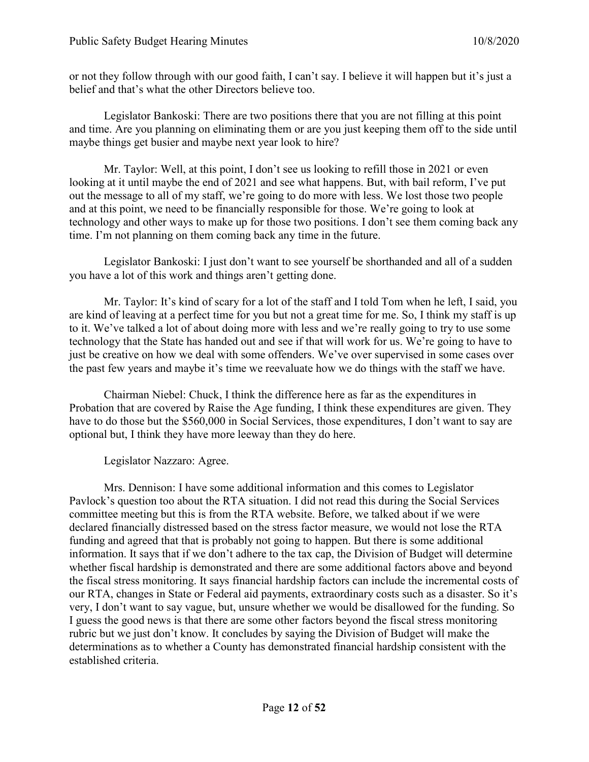or not they follow through with our good faith, I can't say. I believe it will happen but it's just a belief and that's what the other Directors believe too.

Legislator Bankoski: There are two positions there that you are not filling at this point and time. Are you planning on eliminating them or are you just keeping them off to the side until maybe things get busier and maybe next year look to hire?

Mr. Taylor: Well, at this point, I don't see us looking to refill those in 2021 or even looking at it until maybe the end of 2021 and see what happens. But, with bail reform, I've put out the message to all of my staff, we're going to do more with less. We lost those two people and at this point, we need to be financially responsible for those. We're going to look at technology and other ways to make up for those two positions. I don't see them coming back any time. I'm not planning on them coming back any time in the future.

Legislator Bankoski: I just don't want to see yourself be shorthanded and all of a sudden you have a lot of this work and things aren't getting done.

Mr. Taylor: It's kind of scary for a lot of the staff and I told Tom when he left, I said, you are kind of leaving at a perfect time for you but not a great time for me. So, I think my staff is up to it. We've talked a lot of about doing more with less and we're really going to try to use some technology that the State has handed out and see if that will work for us. We're going to have to just be creative on how we deal with some offenders. We've over supervised in some cases over the past few years and maybe it's time we reevaluate how we do things with the staff we have.

Chairman Niebel: Chuck, I think the difference here as far as the expenditures in Probation that are covered by Raise the Age funding, I think these expenditures are given. They have to do those but the \$560,000 in Social Services, those expenditures, I don't want to say are optional but, I think they have more leeway than they do here.

# Legislator Nazzaro: Agree.

Mrs. Dennison: I have some additional information and this comes to Legislator Pavlock's question too about the RTA situation. I did not read this during the Social Services committee meeting but this is from the RTA website. Before, we talked about if we were declared financially distressed based on the stress factor measure, we would not lose the RTA funding and agreed that that is probably not going to happen. But there is some additional information. It says that if we don't adhere to the tax cap, the Division of Budget will determine whether fiscal hardship is demonstrated and there are some additional factors above and beyond the fiscal stress monitoring. It says financial hardship factors can include the incremental costs of our RTA, changes in State or Federal aid payments, extraordinary costs such as a disaster. So it's very, I don't want to say vague, but, unsure whether we would be disallowed for the funding. So I guess the good news is that there are some other factors beyond the fiscal stress monitoring rubric but we just don't know. It concludes by saying the Division of Budget will make the determinations as to whether a County has demonstrated financial hardship consistent with the established criteria.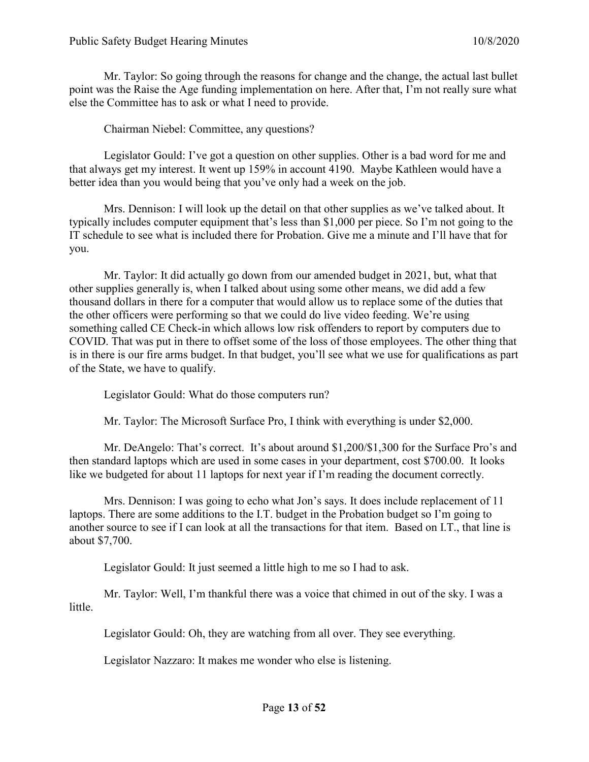Mr. Taylor: So going through the reasons for change and the change, the actual last bullet point was the Raise the Age funding implementation on here. After that, I'm not really sure what else the Committee has to ask or what I need to provide.

Chairman Niebel: Committee, any questions?

Legislator Gould: I've got a question on other supplies. Other is a bad word for me and that always get my interest. It went up 159% in account 4190. Maybe Kathleen would have a better idea than you would being that you've only had a week on the job.

Mrs. Dennison: I will look up the detail on that other supplies as we've talked about. It typically includes computer equipment that's less than \$1,000 per piece. So I'm not going to the IT schedule to see what is included there for Probation. Give me a minute and I'll have that for you.

Mr. Taylor: It did actually go down from our amended budget in 2021, but, what that other supplies generally is, when I talked about using some other means, we did add a few thousand dollars in there for a computer that would allow us to replace some of the duties that the other officers were performing so that we could do live video feeding. We're using something called CE Check-in which allows low risk offenders to report by computers due to COVID. That was put in there to offset some of the loss of those employees. The other thing that is in there is our fire arms budget. In that budget, you'll see what we use for qualifications as part of the State, we have to qualify.

Legislator Gould: What do those computers run?

Mr. Taylor: The Microsoft Surface Pro, I think with everything is under \$2,000.

Mr. DeAngelo: That's correct. It's about around \$1,200/\$1,300 for the Surface Pro's and then standard laptops which are used in some cases in your department, cost \$700.00. It looks like we budgeted for about 11 laptops for next year if I'm reading the document correctly.

Mrs. Dennison: I was going to echo what Jon's says. It does include replacement of 11 laptops. There are some additions to the I.T. budget in the Probation budget so I'm going to another source to see if I can look at all the transactions for that item. Based on I.T., that line is about \$7,700.

Legislator Gould: It just seemed a little high to me so I had to ask.

Mr. Taylor: Well, I'm thankful there was a voice that chimed in out of the sky. I was a little.

Legislator Gould: Oh, they are watching from all over. They see everything.

Legislator Nazzaro: It makes me wonder who else is listening.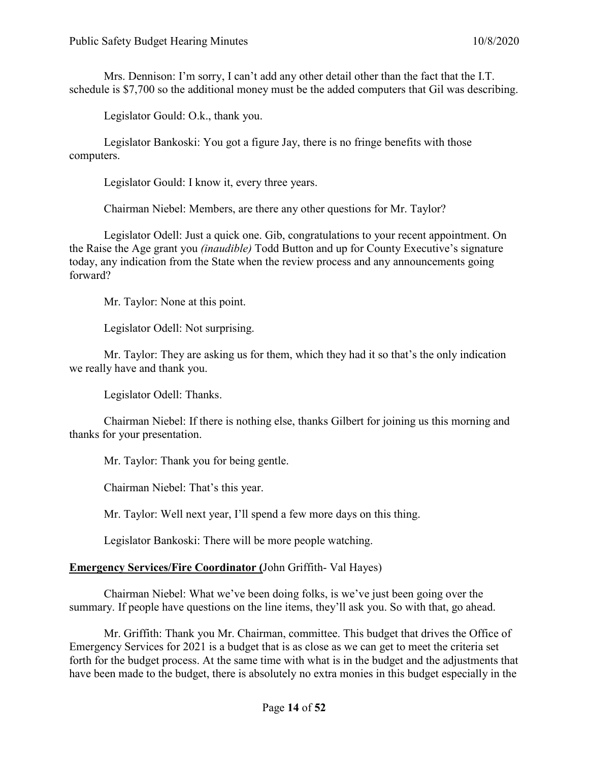Mrs. Dennison: I'm sorry, I can't add any other detail other than the fact that the I.T. schedule is \$7,700 so the additional money must be the added computers that Gil was describing.

Legislator Gould: O.k., thank you.

Legislator Bankoski: You got a figure Jay, there is no fringe benefits with those computers.

Legislator Gould: I know it, every three years.

Chairman Niebel: Members, are there any other questions for Mr. Taylor?

Legislator Odell: Just a quick one. Gib, congratulations to your recent appointment. On the Raise the Age grant you *(inaudible)* Todd Button and up for County Executive's signature today, any indication from the State when the review process and any announcements going forward?

Mr. Taylor: None at this point.

Legislator Odell: Not surprising.

Mr. Taylor: They are asking us for them, which they had it so that's the only indication we really have and thank you.

Legislator Odell: Thanks.

Chairman Niebel: If there is nothing else, thanks Gilbert for joining us this morning and thanks for your presentation.

Mr. Taylor: Thank you for being gentle.

Chairman Niebel: That's this year.

Mr. Taylor: Well next year, I'll spend a few more days on this thing.

Legislator Bankoski: There will be more people watching.

#### **Emergency Services/Fire Coordinator (**John Griffith- Val Hayes)

Chairman Niebel: What we've been doing folks, is we've just been going over the summary. If people have questions on the line items, they'll ask you. So with that, go ahead.

Mr. Griffith: Thank you Mr. Chairman, committee. This budget that drives the Office of Emergency Services for 2021 is a budget that is as close as we can get to meet the criteria set forth for the budget process. At the same time with what is in the budget and the adjustments that have been made to the budget, there is absolutely no extra monies in this budget especially in the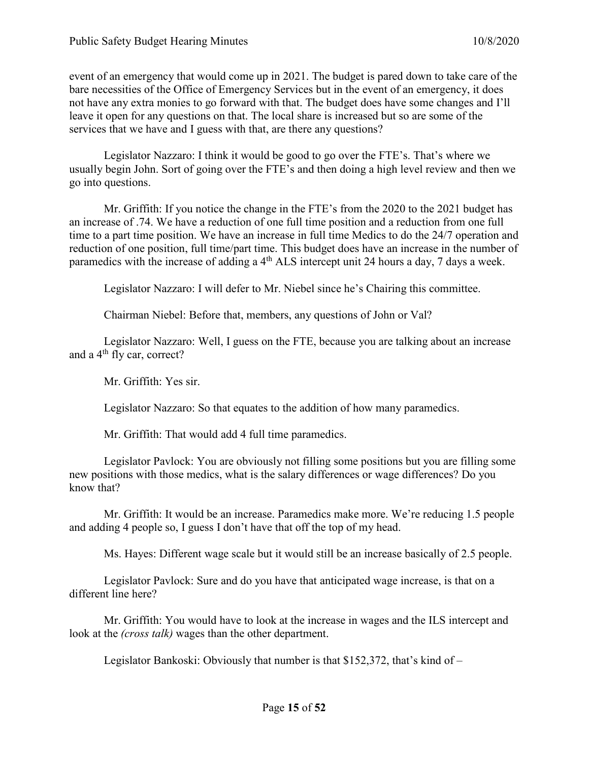event of an emergency that would come up in 2021. The budget is pared down to take care of the bare necessities of the Office of Emergency Services but in the event of an emergency, it does not have any extra monies to go forward with that. The budget does have some changes and I'll leave it open for any questions on that. The local share is increased but so are some of the services that we have and I guess with that, are there any questions?

Legislator Nazzaro: I think it would be good to go over the FTE's. That's where we usually begin John. Sort of going over the FTE's and then doing a high level review and then we go into questions.

Mr. Griffith: If you notice the change in the FTE's from the 2020 to the 2021 budget has an increase of .74. We have a reduction of one full time position and a reduction from one full time to a part time position. We have an increase in full time Medics to do the 24/7 operation and reduction of one position, full time/part time. This budget does have an increase in the number of paramedics with the increase of adding a 4<sup>th</sup> ALS intercept unit 24 hours a day, 7 days a week.

Legislator Nazzaro: I will defer to Mr. Niebel since he's Chairing this committee.

Chairman Niebel: Before that, members, any questions of John or Val?

Legislator Nazzaro: Well, I guess on the FTE, because you are talking about an increase and a 4<sup>th</sup> fly car, correct?

Mr. Griffith: Yes sir.

Legislator Nazzaro: So that equates to the addition of how many paramedics.

Mr. Griffith: That would add 4 full time paramedics.

Legislator Pavlock: You are obviously not filling some positions but you are filling some new positions with those medics, what is the salary differences or wage differences? Do you know that?

Mr. Griffith: It would be an increase. Paramedics make more. We're reducing 1.5 people and adding 4 people so, I guess I don't have that off the top of my head.

Ms. Hayes: Different wage scale but it would still be an increase basically of 2.5 people.

Legislator Pavlock: Sure and do you have that anticipated wage increase, is that on a different line here?

Mr. Griffith: You would have to look at the increase in wages and the ILS intercept and look at the *(cross talk)* wages than the other department.

Legislator Bankoski: Obviously that number is that \$152,372, that's kind of –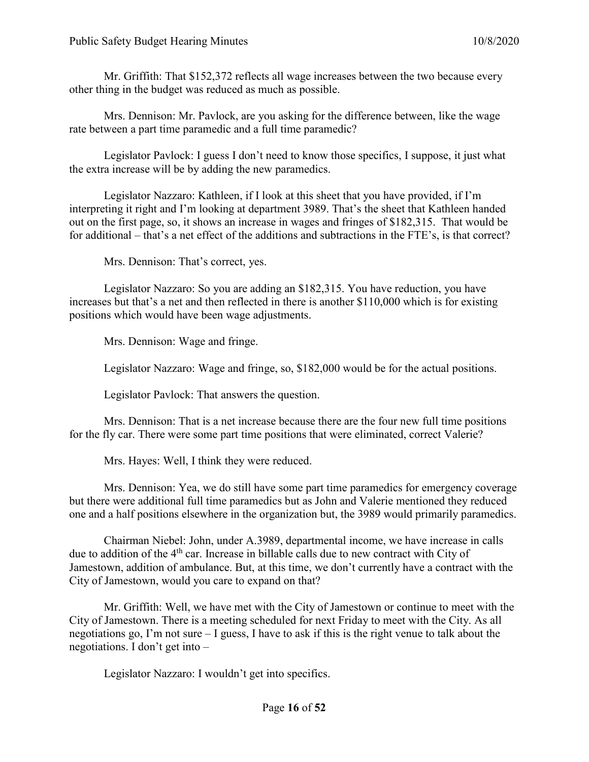Mr. Griffith: That \$152,372 reflects all wage increases between the two because every other thing in the budget was reduced as much as possible.

Mrs. Dennison: Mr. Pavlock, are you asking for the difference between, like the wage rate between a part time paramedic and a full time paramedic?

Legislator Pavlock: I guess I don't need to know those specifics, I suppose, it just what the extra increase will be by adding the new paramedics.

Legislator Nazzaro: Kathleen, if I look at this sheet that you have provided, if I'm interpreting it right and I'm looking at department 3989. That's the sheet that Kathleen handed out on the first page, so, it shows an increase in wages and fringes of \$182,315. That would be for additional – that's a net effect of the additions and subtractions in the FTE's, is that correct?

Mrs. Dennison: That's correct, yes.

Legislator Nazzaro: So you are adding an \$182,315. You have reduction, you have increases but that's a net and then reflected in there is another \$110,000 which is for existing positions which would have been wage adjustments.

Mrs. Dennison: Wage and fringe.

Legislator Nazzaro: Wage and fringe, so, \$182,000 would be for the actual positions.

Legislator Pavlock: That answers the question.

Mrs. Dennison: That is a net increase because there are the four new full time positions for the fly car. There were some part time positions that were eliminated, correct Valerie?

Mrs. Hayes: Well, I think they were reduced.

Mrs. Dennison: Yea, we do still have some part time paramedics for emergency coverage but there were additional full time paramedics but as John and Valerie mentioned they reduced one and a half positions elsewhere in the organization but, the 3989 would primarily paramedics.

Chairman Niebel: John, under A.3989, departmental income, we have increase in calls due to addition of the 4<sup>th</sup> car. Increase in billable calls due to new contract with City of Jamestown, addition of ambulance. But, at this time, we don't currently have a contract with the City of Jamestown, would you care to expand on that?

Mr. Griffith: Well, we have met with the City of Jamestown or continue to meet with the City of Jamestown. There is a meeting scheduled for next Friday to meet with the City. As all negotiations go, I'm not sure – I guess, I have to ask if this is the right venue to talk about the negotiations. I don't get into –

Legislator Nazzaro: I wouldn't get into specifics.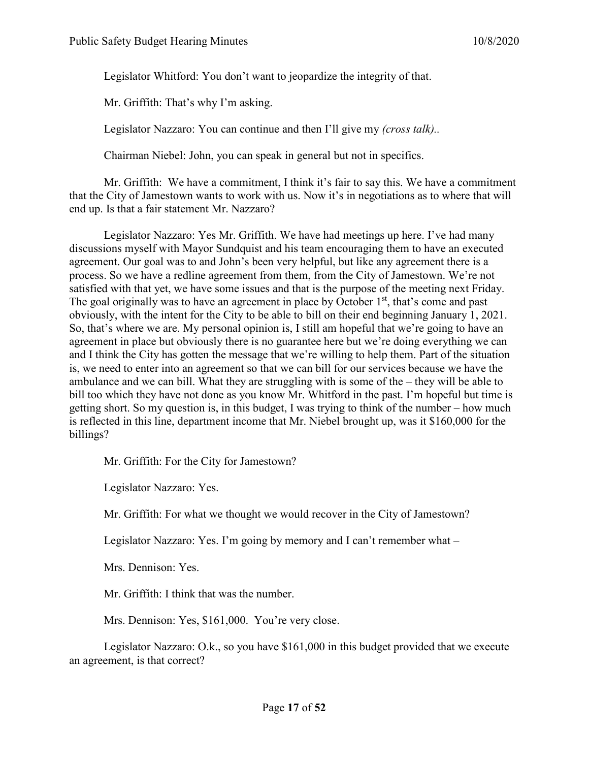Legislator Whitford: You don't want to jeopardize the integrity of that.

Mr. Griffith: That's why I'm asking.

Legislator Nazzaro: You can continue and then I'll give my *(cross talk)..*

Chairman Niebel: John, you can speak in general but not in specifics.

Mr. Griffith: We have a commitment, I think it's fair to say this. We have a commitment that the City of Jamestown wants to work with us. Now it's in negotiations as to where that will end up. Is that a fair statement Mr. Nazzaro?

Legislator Nazzaro: Yes Mr. Griffith. We have had meetings up here. I've had many discussions myself with Mayor Sundquist and his team encouraging them to have an executed agreement. Our goal was to and John's been very helpful, but like any agreement there is a process. So we have a redline agreement from them, from the City of Jamestown. We're not satisfied with that yet, we have some issues and that is the purpose of the meeting next Friday. The goal originally was to have an agreement in place by October  $1<sup>st</sup>$ , that's come and past obviously, with the intent for the City to be able to bill on their end beginning January 1, 2021. So, that's where we are. My personal opinion is, I still am hopeful that we're going to have an agreement in place but obviously there is no guarantee here but we're doing everything we can and I think the City has gotten the message that we're willing to help them. Part of the situation is, we need to enter into an agreement so that we can bill for our services because we have the ambulance and we can bill. What they are struggling with is some of the – they will be able to bill too which they have not done as you know Mr. Whitford in the past. I'm hopeful but time is getting short. So my question is, in this budget, I was trying to think of the number – how much is reflected in this line, department income that Mr. Niebel brought up, was it \$160,000 for the billings?

Mr. Griffith: For the City for Jamestown?

Legislator Nazzaro: Yes.

Mr. Griffith: For what we thought we would recover in the City of Jamestown?

Legislator Nazzaro: Yes. I'm going by memory and I can't remember what –

Mrs. Dennison: Yes.

Mr. Griffith: I think that was the number.

Mrs. Dennison: Yes, \$161,000. You're very close.

Legislator Nazzaro: O.k., so you have \$161,000 in this budget provided that we execute an agreement, is that correct?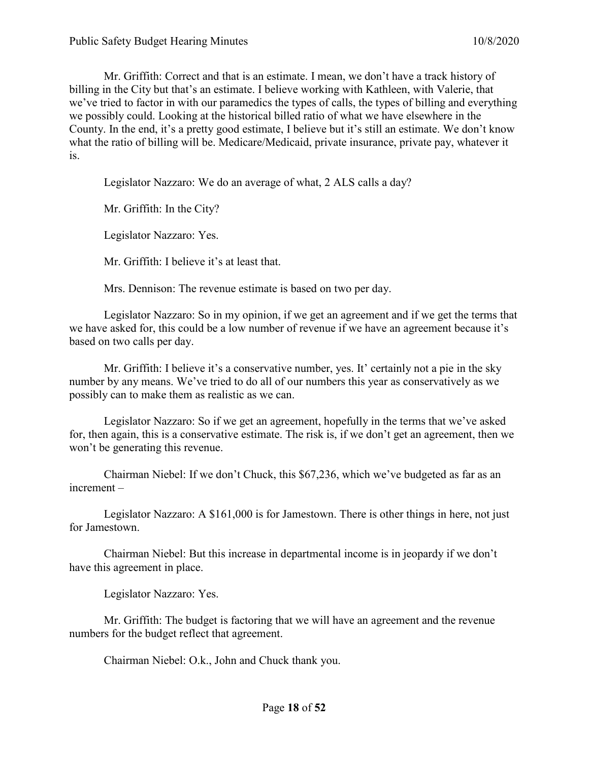Mr. Griffith: Correct and that is an estimate. I mean, we don't have a track history of billing in the City but that's an estimate. I believe working with Kathleen, with Valerie, that we've tried to factor in with our paramedics the types of calls, the types of billing and everything we possibly could. Looking at the historical billed ratio of what we have elsewhere in the County. In the end, it's a pretty good estimate, I believe but it's still an estimate. We don't know what the ratio of billing will be. Medicare/Medicaid, private insurance, private pay, whatever it is.

Legislator Nazzaro: We do an average of what, 2 ALS calls a day?

Mr. Griffith: In the City?

Legislator Nazzaro: Yes.

Mr. Griffith: I believe it's at least that.

Mrs. Dennison: The revenue estimate is based on two per day.

Legislator Nazzaro: So in my opinion, if we get an agreement and if we get the terms that we have asked for, this could be a low number of revenue if we have an agreement because it's based on two calls per day.

Mr. Griffith: I believe it's a conservative number, yes. It' certainly not a pie in the sky number by any means. We've tried to do all of our numbers this year as conservatively as we possibly can to make them as realistic as we can.

Legislator Nazzaro: So if we get an agreement, hopefully in the terms that we've asked for, then again, this is a conservative estimate. The risk is, if we don't get an agreement, then we won't be generating this revenue.

Chairman Niebel: If we don't Chuck, this \$67,236, which we've budgeted as far as an increment –

Legislator Nazzaro: A \$161,000 is for Jamestown. There is other things in here, not just for Jamestown.

Chairman Niebel: But this increase in departmental income is in jeopardy if we don't have this agreement in place.

Legislator Nazzaro: Yes.

Mr. Griffith: The budget is factoring that we will have an agreement and the revenue numbers for the budget reflect that agreement.

Chairman Niebel: O.k., John and Chuck thank you.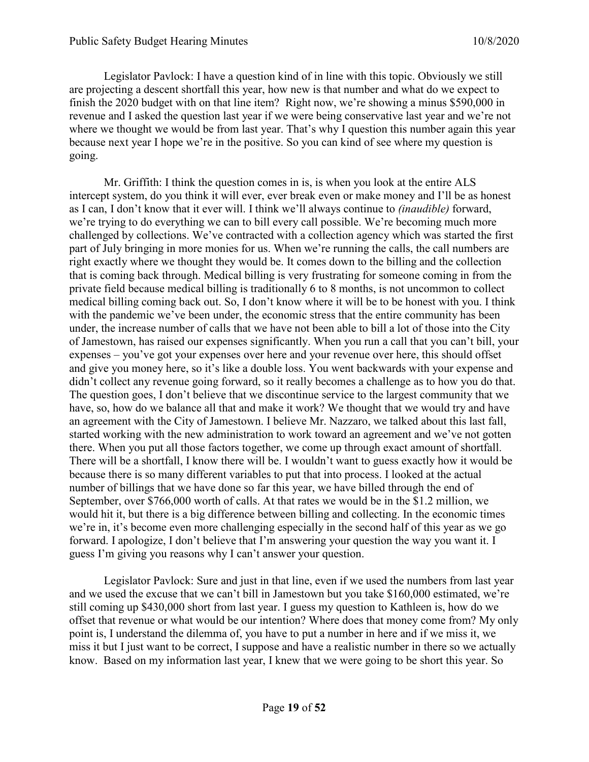Legislator Pavlock: I have a question kind of in line with this topic. Obviously we still are projecting a descent shortfall this year, how new is that number and what do we expect to finish the 2020 budget with on that line item? Right now, we're showing a minus \$590,000 in revenue and I asked the question last year if we were being conservative last year and we're not where we thought we would be from last year. That's why I question this number again this year because next year I hope we're in the positive. So you can kind of see where my question is going.

Mr. Griffith: I think the question comes in is, is when you look at the entire ALS intercept system, do you think it will ever, ever break even or make money and I'll be as honest as I can, I don't know that it ever will. I think we'll always continue to *(inaudible)* forward, we're trying to do everything we can to bill every call possible. We're becoming much more challenged by collections. We've contracted with a collection agency which was started the first part of July bringing in more monies for us. When we're running the calls, the call numbers are right exactly where we thought they would be. It comes down to the billing and the collection that is coming back through. Medical billing is very frustrating for someone coming in from the private field because medical billing is traditionally 6 to 8 months, is not uncommon to collect medical billing coming back out. So, I don't know where it will be to be honest with you. I think with the pandemic we've been under, the economic stress that the entire community has been under, the increase number of calls that we have not been able to bill a lot of those into the City of Jamestown, has raised our expenses significantly. When you run a call that you can't bill, your expenses – you've got your expenses over here and your revenue over here, this should offset and give you money here, so it's like a double loss. You went backwards with your expense and didn't collect any revenue going forward, so it really becomes a challenge as to how you do that. The question goes, I don't believe that we discontinue service to the largest community that we have, so, how do we balance all that and make it work? We thought that we would try and have an agreement with the City of Jamestown. I believe Mr. Nazzaro, we talked about this last fall, started working with the new administration to work toward an agreement and we've not gotten there. When you put all those factors together, we come up through exact amount of shortfall. There will be a shortfall, I know there will be. I wouldn't want to guess exactly how it would be because there is so many different variables to put that into process. I looked at the actual number of billings that we have done so far this year, we have billed through the end of September, over \$766,000 worth of calls. At that rates we would be in the \$1.2 million, we would hit it, but there is a big difference between billing and collecting. In the economic times we're in, it's become even more challenging especially in the second half of this year as we go forward. I apologize, I don't believe that I'm answering your question the way you want it. I guess I'm giving you reasons why I can't answer your question.

Legislator Pavlock: Sure and just in that line, even if we used the numbers from last year and we used the excuse that we can't bill in Jamestown but you take \$160,000 estimated, we're still coming up \$430,000 short from last year. I guess my question to Kathleen is, how do we offset that revenue or what would be our intention? Where does that money come from? My only point is, I understand the dilemma of, you have to put a number in here and if we miss it, we miss it but I just want to be correct, I suppose and have a realistic number in there so we actually know. Based on my information last year, I knew that we were going to be short this year. So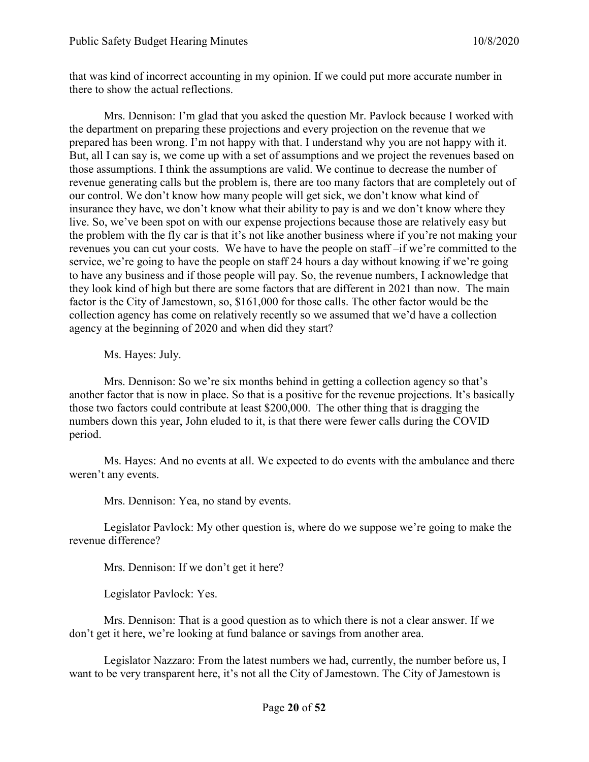that was kind of incorrect accounting in my opinion. If we could put more accurate number in there to show the actual reflections.

Mrs. Dennison: I'm glad that you asked the question Mr. Pavlock because I worked with the department on preparing these projections and every projection on the revenue that we prepared has been wrong. I'm not happy with that. I understand why you are not happy with it. But, all I can say is, we come up with a set of assumptions and we project the revenues based on those assumptions. I think the assumptions are valid. We continue to decrease the number of revenue generating calls but the problem is, there are too many factors that are completely out of our control. We don't know how many people will get sick, we don't know what kind of insurance they have, we don't know what their ability to pay is and we don't know where they live. So, we've been spot on with our expense projections because those are relatively easy but the problem with the fly car is that it's not like another business where if you're not making your revenues you can cut your costs. We have to have the people on staff –if we're committed to the service, we're going to have the people on staff 24 hours a day without knowing if we're going to have any business and if those people will pay. So, the revenue numbers, I acknowledge that they look kind of high but there are some factors that are different in 2021 than now. The main factor is the City of Jamestown, so, \$161,000 for those calls. The other factor would be the collection agency has come on relatively recently so we assumed that we'd have a collection agency at the beginning of 2020 and when did they start?

Ms. Hayes: July.

Mrs. Dennison: So we're six months behind in getting a collection agency so that's another factor that is now in place. So that is a positive for the revenue projections. It's basically those two factors could contribute at least \$200,000. The other thing that is dragging the numbers down this year, John eluded to it, is that there were fewer calls during the COVID period.

Ms. Hayes: And no events at all. We expected to do events with the ambulance and there weren't any events.

Mrs. Dennison: Yea, no stand by events.

Legislator Pavlock: My other question is, where do we suppose we're going to make the revenue difference?

Mrs. Dennison: If we don't get it here?

Legislator Pavlock: Yes.

Mrs. Dennison: That is a good question as to which there is not a clear answer. If we don't get it here, we're looking at fund balance or savings from another area.

Legislator Nazzaro: From the latest numbers we had, currently, the number before us, I want to be very transparent here, it's not all the City of Jamestown. The City of Jamestown is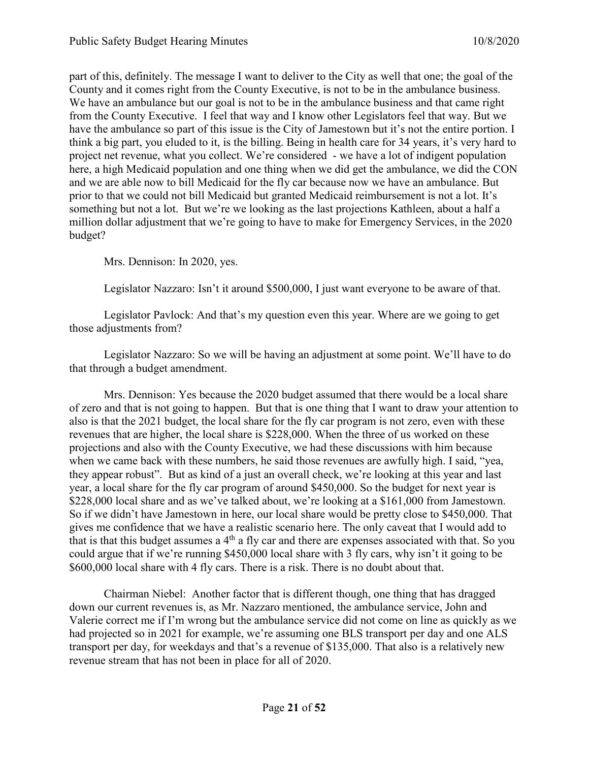part of this, definitely. The message I want to deliver to the City as well that one; the goal of the County and it comes right from the County Executive, is not to be in the ambulance business. We have an ambulance but our goal is not to be in the ambulance business and that came right from the County Executive. I feel that way and I know other Legislators feel that way. But we have the ambulance so part of this issue is the City of Jamestown but it's not the entire portion. I think a big part, you eluded to it, is the billing. Being in health care for 34 years, it's very hard to project net revenue, what you collect. We're considered - we have a lot of indigent population here, a high Medicaid population and one thing when we did get the ambulance, we did the CON and we are able now to bill Medicaid for the fly car because now we have an ambulance. But prior to that we could not bill Medicaid but granted Medicaid reimbursement is not a lot. It's something but not a lot. But we're we looking as the last projections Kathleen, about a half a million dollar adjustment that we're going to have to make for Emergency Services, in the 2020 budget?

Mrs. Dennison: In 2020, yes.

Legislator Nazzaro: Isn't it around \$500,000, I just want everyone to be aware of that.

Legislator Pavlock: And that's my question even this year. Where are we going to get those adjustments from?

Legislator Nazzaro: So we will be having an adjustment at some point. We'll have to do that through a budget amendment.

Mrs. Dennison: Yes because the 2020 budget assumed that there would be a local share of zero and that is not going to happen. But that is one thing that I want to draw your attention to also is that the 2021 budget, the local share for the fly car program is not zero, even with these revenues that are higher, the local share is \$228,000. When the three of us worked on these projections and also with the County Executive, we had these discussions with him because when we came back with these numbers, he said those revenues are awfully high. I said, "yea, they appear robust". But as kind of a just an overall check, we're looking at this year and last year, a local share for the fly car program of around \$450,000. So the budget for next year is \$228,000 local share and as we've talked about, we're looking at a \$161,000 from Jamestown. So if we didn't have Jamestown in here, our local share would be pretty close to \$450,000. That gives me confidence that we have a realistic scenario here. The only caveat that I would add to that is that this budget assumes a 4<sup>th</sup> a fly car and there are expenses associated with that. So you could argue that if we're running \$450,000 local share with 3 fly cars, why isn't it going to be \$600,000 local share with 4 fly cars. There is a risk. There is no doubt about that.

Chairman Niebel: Another factor that is different though, one thing that has dragged down our current revenues is, as Mr. Nazzaro mentioned, the ambulance service, John and Valerie correct me if I'm wrong but the ambulance service did not come on line as quickly as we had projected so in 2021 for example, we're assuming one BLS transport per day and one ALS transport per day, for weekdays and that's a revenue of \$135,000. That also is a relatively new revenue stream that has not been in place for all of 2020.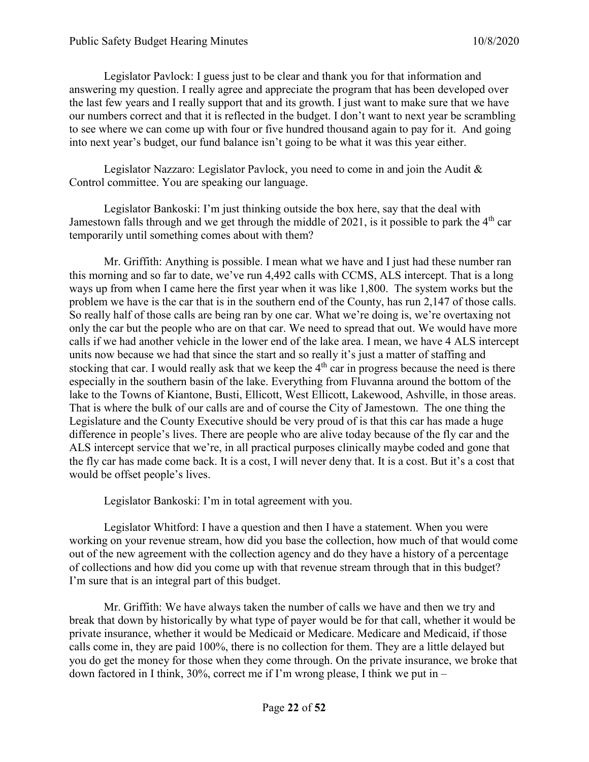Legislator Pavlock: I guess just to be clear and thank you for that information and answering my question. I really agree and appreciate the program that has been developed over the last few years and I really support that and its growth. I just want to make sure that we have our numbers correct and that it is reflected in the budget. I don't want to next year be scrambling to see where we can come up with four or five hundred thousand again to pay for it. And going into next year's budget, our fund balance isn't going to be what it was this year either.

Legislator Nazzaro: Legislator Pavlock, you need to come in and join the Audit & Control committee. You are speaking our language.

Legislator Bankoski: I'm just thinking outside the box here, say that the deal with Jamestown falls through and we get through the middle of 2021, is it possible to park the  $4<sup>th</sup>$  car temporarily until something comes about with them?

Mr. Griffith: Anything is possible. I mean what we have and I just had these number ran this morning and so far to date, we've run 4,492 calls with CCMS, ALS intercept. That is a long ways up from when I came here the first year when it was like 1,800. The system works but the problem we have is the car that is in the southern end of the County, has run 2,147 of those calls. So really half of those calls are being ran by one car. What we're doing is, we're overtaxing not only the car but the people who are on that car. We need to spread that out. We would have more calls if we had another vehicle in the lower end of the lake area. I mean, we have 4 ALS intercept units now because we had that since the start and so really it's just a matter of staffing and stocking that car. I would really ask that we keep the  $4<sup>th</sup>$  car in progress because the need is there especially in the southern basin of the lake. Everything from Fluvanna around the bottom of the lake to the Towns of Kiantone, Busti, Ellicott, West Ellicott, Lakewood, Ashville, in those areas. That is where the bulk of our calls are and of course the City of Jamestown. The one thing the Legislature and the County Executive should be very proud of is that this car has made a huge difference in people's lives. There are people who are alive today because of the fly car and the ALS intercept service that we're, in all practical purposes clinically maybe coded and gone that the fly car has made come back. It is a cost, I will never deny that. It is a cost. But it's a cost that would be offset people's lives.

Legislator Bankoski: I'm in total agreement with you.

Legislator Whitford: I have a question and then I have a statement. When you were working on your revenue stream, how did you base the collection, how much of that would come out of the new agreement with the collection agency and do they have a history of a percentage of collections and how did you come up with that revenue stream through that in this budget? I'm sure that is an integral part of this budget.

Mr. Griffith: We have always taken the number of calls we have and then we try and break that down by historically by what type of payer would be for that call, whether it would be private insurance, whether it would be Medicaid or Medicare. Medicare and Medicaid, if those calls come in, they are paid 100%, there is no collection for them. They are a little delayed but you do get the money for those when they come through. On the private insurance, we broke that down factored in I think, 30%, correct me if I'm wrong please, I think we put in –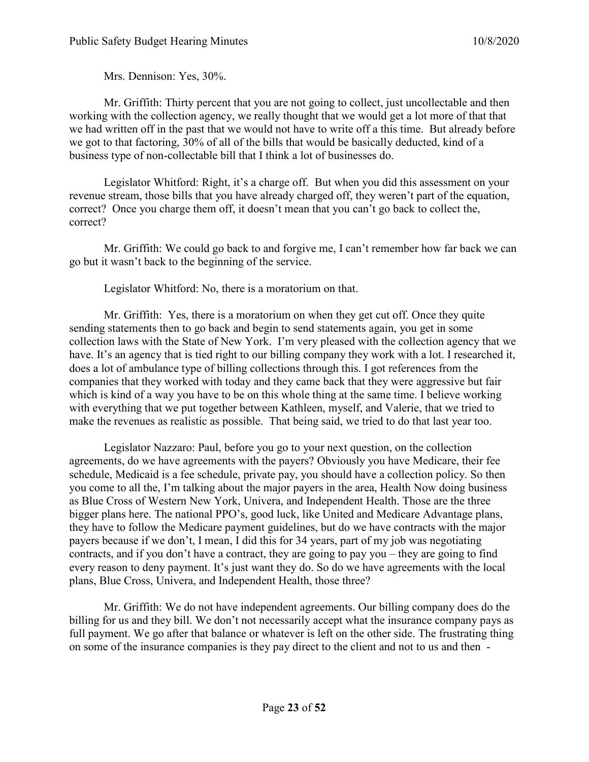Mrs. Dennison: Yes, 30%.

Mr. Griffith: Thirty percent that you are not going to collect, just uncollectable and then working with the collection agency, we really thought that we would get a lot more of that that we had written off in the past that we would not have to write off a this time. But already before we got to that factoring, 30% of all of the bills that would be basically deducted, kind of a business type of non-collectable bill that I think a lot of businesses do.

Legislator Whitford: Right, it's a charge off. But when you did this assessment on your revenue stream, those bills that you have already charged off, they weren't part of the equation, correct? Once you charge them off, it doesn't mean that you can't go back to collect the, correct?

Mr. Griffith: We could go back to and forgive me, I can't remember how far back we can go but it wasn't back to the beginning of the service.

Legislator Whitford: No, there is a moratorium on that.

Mr. Griffith: Yes, there is a moratorium on when they get cut off. Once they quite sending statements then to go back and begin to send statements again, you get in some collection laws with the State of New York. I'm very pleased with the collection agency that we have. It's an agency that is tied right to our billing company they work with a lot. I researched it, does a lot of ambulance type of billing collections through this. I got references from the companies that they worked with today and they came back that they were aggressive but fair which is kind of a way you have to be on this whole thing at the same time. I believe working with everything that we put together between Kathleen, myself, and Valerie, that we tried to make the revenues as realistic as possible. That being said, we tried to do that last year too.

Legislator Nazzaro: Paul, before you go to your next question, on the collection agreements, do we have agreements with the payers? Obviously you have Medicare, their fee schedule, Medicaid is a fee schedule, private pay, you should have a collection policy. So then you come to all the, I'm talking about the major payers in the area, Health Now doing business as Blue Cross of Western New York, Univera, and Independent Health. Those are the three bigger plans here. The national PPO's, good luck, like United and Medicare Advantage plans, they have to follow the Medicare payment guidelines, but do we have contracts with the major payers because if we don't, I mean, I did this for 34 years, part of my job was negotiating contracts, and if you don't have a contract, they are going to pay you – they are going to find every reason to deny payment. It's just want they do. So do we have agreements with the local plans, Blue Cross, Univera, and Independent Health, those three?

Mr. Griffith: We do not have independent agreements. Our billing company does do the billing for us and they bill. We don't not necessarily accept what the insurance company pays as full payment. We go after that balance or whatever is left on the other side. The frustrating thing on some of the insurance companies is they pay direct to the client and not to us and then -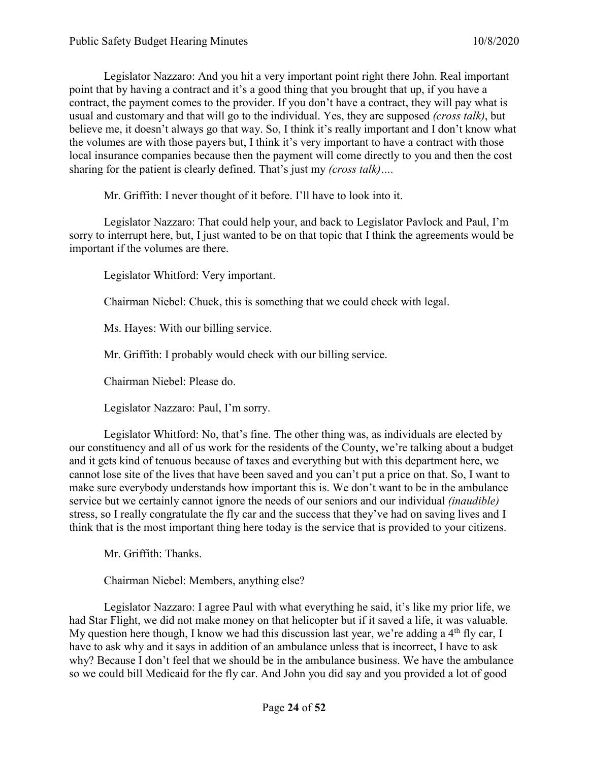Legislator Nazzaro: And you hit a very important point right there John. Real important point that by having a contract and it's a good thing that you brought that up, if you have a contract, the payment comes to the provider. If you don't have a contract, they will pay what is usual and customary and that will go to the individual. Yes, they are supposed *(cross talk)*, but believe me, it doesn't always go that way. So, I think it's really important and I don't know what the volumes are with those payers but, I think it's very important to have a contract with those local insurance companies because then the payment will come directly to you and then the cost sharing for the patient is clearly defined. That's just my *(cross talk)….*

Mr. Griffith: I never thought of it before. I'll have to look into it.

Legislator Nazzaro: That could help your, and back to Legislator Pavlock and Paul, I'm sorry to interrupt here, but, I just wanted to be on that topic that I think the agreements would be important if the volumes are there.

Legislator Whitford: Very important.

Chairman Niebel: Chuck, this is something that we could check with legal.

Ms. Hayes: With our billing service.

Mr. Griffith: I probably would check with our billing service.

Chairman Niebel: Please do.

Legislator Nazzaro: Paul, I'm sorry.

Legislator Whitford: No, that's fine. The other thing was, as individuals are elected by our constituency and all of us work for the residents of the County, we're talking about a budget and it gets kind of tenuous because of taxes and everything but with this department here, we cannot lose site of the lives that have been saved and you can't put a price on that. So, I want to make sure everybody understands how important this is. We don't want to be in the ambulance service but we certainly cannot ignore the needs of our seniors and our individual *(inaudible)* stress, so I really congratulate the fly car and the success that they've had on saving lives and I think that is the most important thing here today is the service that is provided to your citizens.

Mr. Griffith: Thanks.

Chairman Niebel: Members, anything else?

Legislator Nazzaro: I agree Paul with what everything he said, it's like my prior life, we had Star Flight, we did not make money on that helicopter but if it saved a life, it was valuable. My question here though, I know we had this discussion last year, we're adding a  $4<sup>th</sup>$  fly car, I have to ask why and it says in addition of an ambulance unless that is incorrect, I have to ask why? Because I don't feel that we should be in the ambulance business. We have the ambulance so we could bill Medicaid for the fly car. And John you did say and you provided a lot of good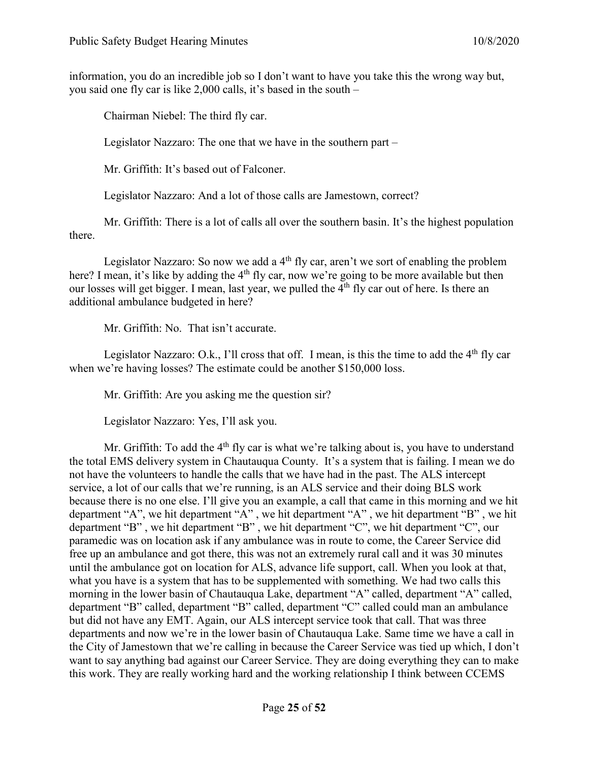information, you do an incredible job so I don't want to have you take this the wrong way but, you said one fly car is like 2,000 calls, it's based in the south –

Chairman Niebel: The third fly car.

Legislator Nazzaro: The one that we have in the southern part –

Mr. Griffith: It's based out of Falconer.

Legislator Nazzaro: And a lot of those calls are Jamestown, correct?

Mr. Griffith: There is a lot of calls all over the southern basin. It's the highest population there.

Legislator Nazzaro: So now we add a  $4<sup>th</sup>$  fly car, aren't we sort of enabling the problem here? I mean, it's like by adding the 4<sup>th</sup> fly car, now we're going to be more available but then our losses will get bigger. I mean, last year, we pulled the  $4<sup>th</sup>$  fly car out of here. Is there an additional ambulance budgeted in here?

Mr. Griffith: No. That isn't accurate.

Legislator Nazzaro: O.k., I'll cross that off. I mean, is this the time to add the  $4<sup>th</sup>$  fly car when we're having losses? The estimate could be another \$150,000 loss.

Mr. Griffith: Are you asking me the question sir?

Legislator Nazzaro: Yes, I'll ask you.

Mr. Griffith: To add the  $4<sup>th</sup>$  fly car is what we're talking about is, you have to understand the total EMS delivery system in Chautauqua County. It's a system that is failing. I mean we do not have the volunteers to handle the calls that we have had in the past. The ALS intercept service, a lot of our calls that we're running, is an ALS service and their doing BLS work because there is no one else. I'll give you an example, a call that came in this morning and we hit department "A", we hit department "A" , we hit department "A" , we hit department "B" , we hit department "B" , we hit department "B" , we hit department "C", we hit department "C", our paramedic was on location ask if any ambulance was in route to come, the Career Service did free up an ambulance and got there, this was not an extremely rural call and it was 30 minutes until the ambulance got on location for ALS, advance life support, call. When you look at that, what you have is a system that has to be supplemented with something. We had two calls this morning in the lower basin of Chautauqua Lake, department "A" called, department "A" called, department "B" called, department "B" called, department "C" called could man an ambulance but did not have any EMT. Again, our ALS intercept service took that call. That was three departments and now we're in the lower basin of Chautauqua Lake. Same time we have a call in the City of Jamestown that we're calling in because the Career Service was tied up which, I don't want to say anything bad against our Career Service. They are doing everything they can to make this work. They are really working hard and the working relationship I think between CCEMS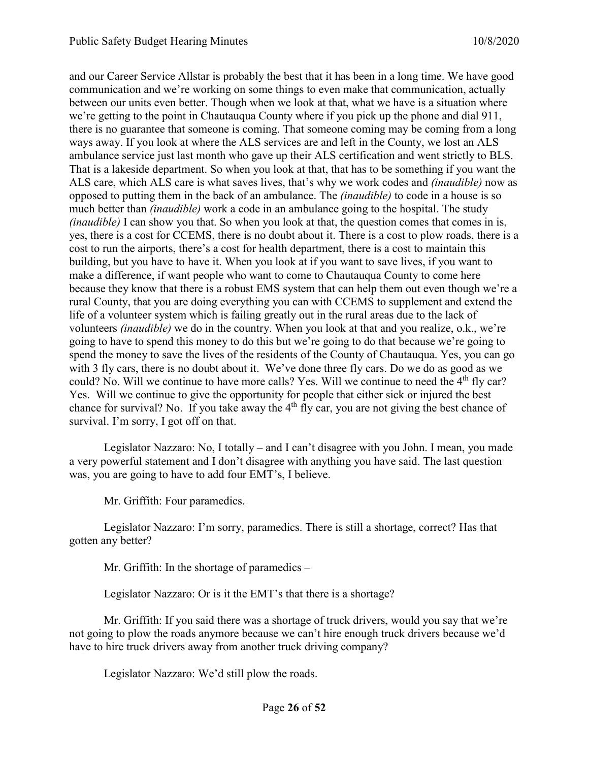and our Career Service Allstar is probably the best that it has been in a long time. We have good communication and we're working on some things to even make that communication, actually between our units even better. Though when we look at that, what we have is a situation where we're getting to the point in Chautauqua County where if you pick up the phone and dial 911, there is no guarantee that someone is coming. That someone coming may be coming from a long ways away. If you look at where the ALS services are and left in the County, we lost an ALS ambulance service just last month who gave up their ALS certification and went strictly to BLS. That is a lakeside department. So when you look at that, that has to be something if you want the ALS care, which ALS care is what saves lives, that's why we work codes and *(inaudible)* now as opposed to putting them in the back of an ambulance. The *(inaudible)* to code in a house is so much better than *(inaudible)* work a code in an ambulance going to the hospital. The study *(inaudible)* I can show you that. So when you look at that, the question comes that comes in is, yes, there is a cost for CCEMS, there is no doubt about it. There is a cost to plow roads, there is a cost to run the airports, there's a cost for health department, there is a cost to maintain this building, but you have to have it. When you look at if you want to save lives, if you want to make a difference, if want people who want to come to Chautauqua County to come here because they know that there is a robust EMS system that can help them out even though we're a rural County, that you are doing everything you can with CCEMS to supplement and extend the life of a volunteer system which is failing greatly out in the rural areas due to the lack of volunteers *(inaudible)* we do in the country. When you look at that and you realize, o.k., we're going to have to spend this money to do this but we're going to do that because we're going to spend the money to save the lives of the residents of the County of Chautauqua. Yes, you can go with 3 fly cars, there is no doubt about it. We've done three fly cars. Do we do as good as we could? No. Will we continue to have more calls? Yes. Will we continue to need the  $4<sup>th</sup>$  fly car? Yes. Will we continue to give the opportunity for people that either sick or injured the best chance for survival? No. If you take away the 4<sup>th</sup> fly car, you are not giving the best chance of survival. I'm sorry, I got off on that.

Legislator Nazzaro: No, I totally – and I can't disagree with you John. I mean, you made a very powerful statement and I don't disagree with anything you have said. The last question was, you are going to have to add four EMT's, I believe.

Mr. Griffith: Four paramedics.

Legislator Nazzaro: I'm sorry, paramedics. There is still a shortage, correct? Has that gotten any better?

Mr. Griffith: In the shortage of paramedics –

Legislator Nazzaro: Or is it the EMT's that there is a shortage?

Mr. Griffith: If you said there was a shortage of truck drivers, would you say that we're not going to plow the roads anymore because we can't hire enough truck drivers because we'd have to hire truck drivers away from another truck driving company?

Legislator Nazzaro: We'd still plow the roads.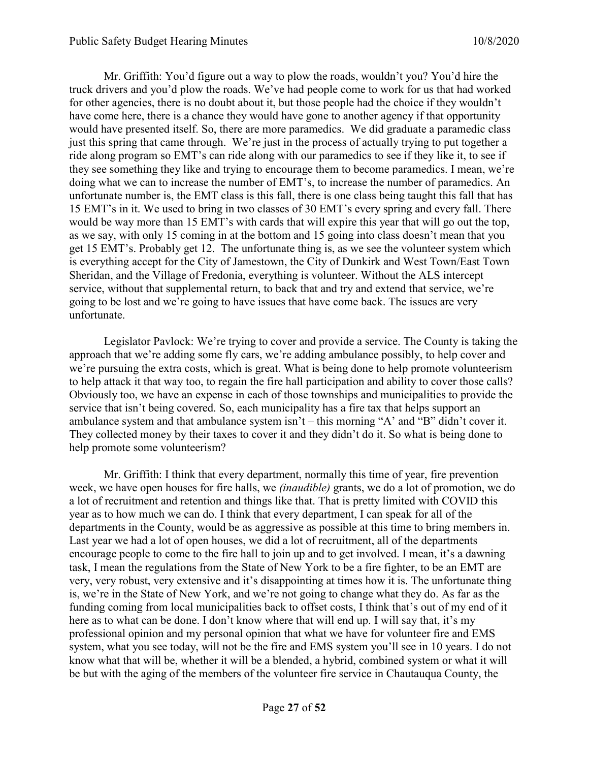Mr. Griffith: You'd figure out a way to plow the roads, wouldn't you? You'd hire the truck drivers and you'd plow the roads. We've had people come to work for us that had worked for other agencies, there is no doubt about it, but those people had the choice if they wouldn't have come here, there is a chance they would have gone to another agency if that opportunity would have presented itself. So, there are more paramedics. We did graduate a paramedic class just this spring that came through. We're just in the process of actually trying to put together a ride along program so EMT's can ride along with our paramedics to see if they like it, to see if they see something they like and trying to encourage them to become paramedics. I mean, we're doing what we can to increase the number of EMT's, to increase the number of paramedics. An unfortunate number is, the EMT class is this fall, there is one class being taught this fall that has 15 EMT's in it. We used to bring in two classes of 30 EMT's every spring and every fall. There would be way more than 15 EMT's with cards that will expire this year that will go out the top, as we say, with only 15 coming in at the bottom and 15 going into class doesn't mean that you get 15 EMT's. Probably get 12. The unfortunate thing is, as we see the volunteer system which is everything accept for the City of Jamestown, the City of Dunkirk and West Town/East Town Sheridan, and the Village of Fredonia, everything is volunteer. Without the ALS intercept service, without that supplemental return, to back that and try and extend that service, we're going to be lost and we're going to have issues that have come back. The issues are very unfortunate.

Legislator Pavlock: We're trying to cover and provide a service. The County is taking the approach that we're adding some fly cars, we're adding ambulance possibly, to help cover and we're pursuing the extra costs, which is great. What is being done to help promote volunteerism to help attack it that way too, to regain the fire hall participation and ability to cover those calls? Obviously too, we have an expense in each of those townships and municipalities to provide the service that isn't being covered. So, each municipality has a fire tax that helps support an ambulance system and that ambulance system isn't – this morning "A' and "B" didn't cover it. They collected money by their taxes to cover it and they didn't do it. So what is being done to help promote some volunteerism?

Mr. Griffith: I think that every department, normally this time of year, fire prevention week, we have open houses for fire halls, we *(inaudible)* grants, we do a lot of promotion, we do a lot of recruitment and retention and things like that. That is pretty limited with COVID this year as to how much we can do. I think that every department, I can speak for all of the departments in the County, would be as aggressive as possible at this time to bring members in. Last year we had a lot of open houses, we did a lot of recruitment, all of the departments encourage people to come to the fire hall to join up and to get involved. I mean, it's a dawning task, I mean the regulations from the State of New York to be a fire fighter, to be an EMT are very, very robust, very extensive and it's disappointing at times how it is. The unfortunate thing is, we're in the State of New York, and we're not going to change what they do. As far as the funding coming from local municipalities back to offset costs, I think that's out of my end of it here as to what can be done. I don't know where that will end up. I will say that, it's my professional opinion and my personal opinion that what we have for volunteer fire and EMS system, what you see today, will not be the fire and EMS system you'll see in 10 years. I do not know what that will be, whether it will be a blended, a hybrid, combined system or what it will be but with the aging of the members of the volunteer fire service in Chautauqua County, the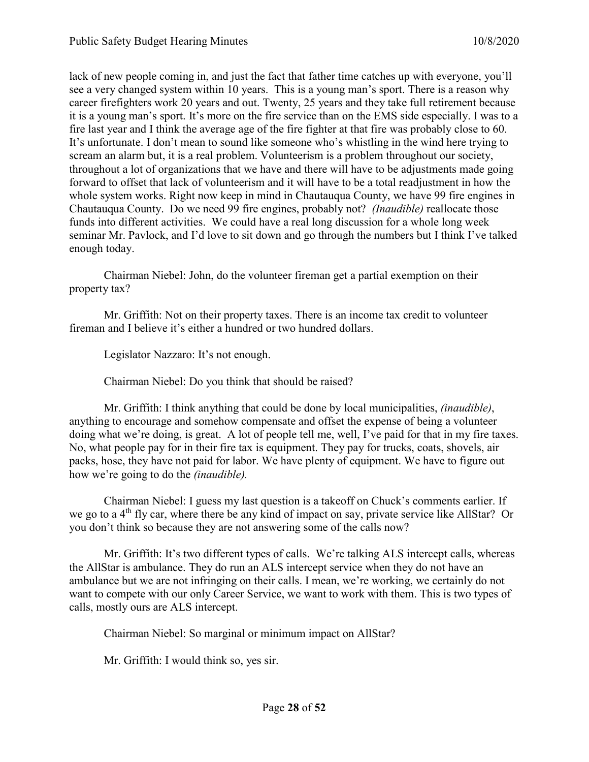lack of new people coming in, and just the fact that father time catches up with everyone, you'll see a very changed system within 10 years. This is a young man's sport. There is a reason why career firefighters work 20 years and out. Twenty, 25 years and they take full retirement because it is a young man's sport. It's more on the fire service than on the EMS side especially. I was to a fire last year and I think the average age of the fire fighter at that fire was probably close to 60. It's unfortunate. I don't mean to sound like someone who's whistling in the wind here trying to scream an alarm but, it is a real problem. Volunteerism is a problem throughout our society, throughout a lot of organizations that we have and there will have to be adjustments made going forward to offset that lack of volunteerism and it will have to be a total readjustment in how the whole system works. Right now keep in mind in Chautauqua County, we have 99 fire engines in Chautauqua County. Do we need 99 fire engines, probably not? *(Inaudible)* reallocate those funds into different activities. We could have a real long discussion for a whole long week seminar Mr. Pavlock, and I'd love to sit down and go through the numbers but I think I've talked enough today.

Chairman Niebel: John, do the volunteer fireman get a partial exemption on their property tax?

Mr. Griffith: Not on their property taxes. There is an income tax credit to volunteer fireman and I believe it's either a hundred or two hundred dollars.

Legislator Nazzaro: It's not enough.

Chairman Niebel: Do you think that should be raised?

Mr. Griffith: I think anything that could be done by local municipalities, *(inaudible)*, anything to encourage and somehow compensate and offset the expense of being a volunteer doing what we're doing, is great. A lot of people tell me, well, I've paid for that in my fire taxes. No, what people pay for in their fire tax is equipment. They pay for trucks, coats, shovels, air packs, hose, they have not paid for labor. We have plenty of equipment. We have to figure out how we're going to do the *(inaudible).*

Chairman Niebel: I guess my last question is a takeoff on Chuck's comments earlier. If we go to a 4<sup>th</sup> fly car, where there be any kind of impact on say, private service like AllStar? Or you don't think so because they are not answering some of the calls now?

Mr. Griffith: It's two different types of calls. We're talking ALS intercept calls, whereas the AllStar is ambulance. They do run an ALS intercept service when they do not have an ambulance but we are not infringing on their calls. I mean, we're working, we certainly do not want to compete with our only Career Service, we want to work with them. This is two types of calls, mostly ours are ALS intercept.

Chairman Niebel: So marginal or minimum impact on AllStar?

Mr. Griffith: I would think so, yes sir.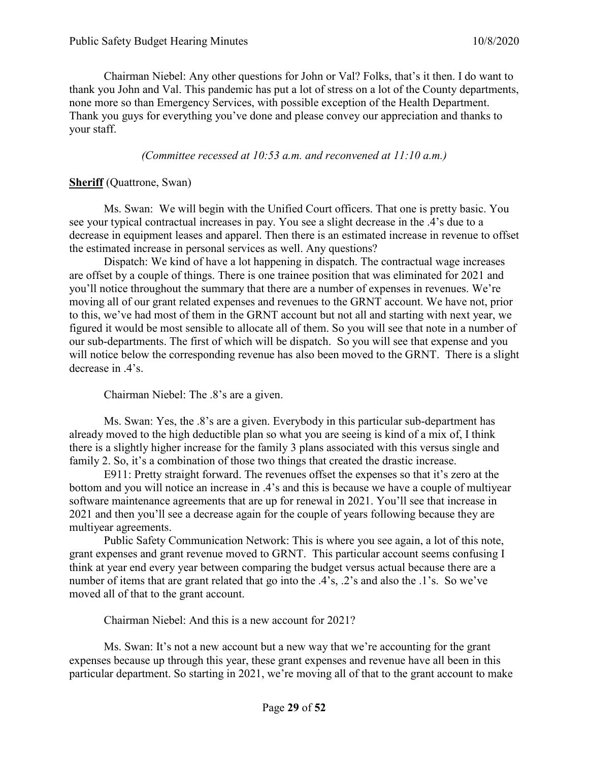Chairman Niebel: Any other questions for John or Val? Folks, that's it then. I do want to thank you John and Val. This pandemic has put a lot of stress on a lot of the County departments, none more so than Emergency Services, with possible exception of the Health Department. Thank you guys for everything you've done and please convey our appreciation and thanks to your staff.

*(Committee recessed at 10:53 a.m. and reconvened at 11:10 a.m.)*

### **Sheriff** (Quattrone, Swan)

Ms. Swan: We will begin with the Unified Court officers. That one is pretty basic. You see your typical contractual increases in pay. You see a slight decrease in the .4's due to a decrease in equipment leases and apparel. Then there is an estimated increase in revenue to offset the estimated increase in personal services as well. Any questions?

Dispatch: We kind of have a lot happening in dispatch. The contractual wage increases are offset by a couple of things. There is one trainee position that was eliminated for 2021 and you'll notice throughout the summary that there are a number of expenses in revenues. We're moving all of our grant related expenses and revenues to the GRNT account. We have not, prior to this, we've had most of them in the GRNT account but not all and starting with next year, we figured it would be most sensible to allocate all of them. So you will see that note in a number of our sub-departments. The first of which will be dispatch. So you will see that expense and you will notice below the corresponding revenue has also been moved to the GRNT. There is a slight decrease in .4's.

Chairman Niebel: The .8's are a given.

Ms. Swan: Yes, the .8's are a given. Everybody in this particular sub-department has already moved to the high deductible plan so what you are seeing is kind of a mix of, I think there is a slightly higher increase for the family 3 plans associated with this versus single and family 2. So, it's a combination of those two things that created the drastic increase.

E911: Pretty straight forward. The revenues offset the expenses so that it's zero at the bottom and you will notice an increase in .4's and this is because we have a couple of multiyear software maintenance agreements that are up for renewal in 2021. You'll see that increase in 2021 and then you'll see a decrease again for the couple of years following because they are multiyear agreements.

Public Safety Communication Network: This is where you see again, a lot of this note, grant expenses and grant revenue moved to GRNT. This particular account seems confusing I think at year end every year between comparing the budget versus actual because there are a number of items that are grant related that go into the .4's, .2's and also the .1's. So we've moved all of that to the grant account.

Chairman Niebel: And this is a new account for 2021?

Ms. Swan: It's not a new account but a new way that we're accounting for the grant expenses because up through this year, these grant expenses and revenue have all been in this particular department. So starting in 2021, we're moving all of that to the grant account to make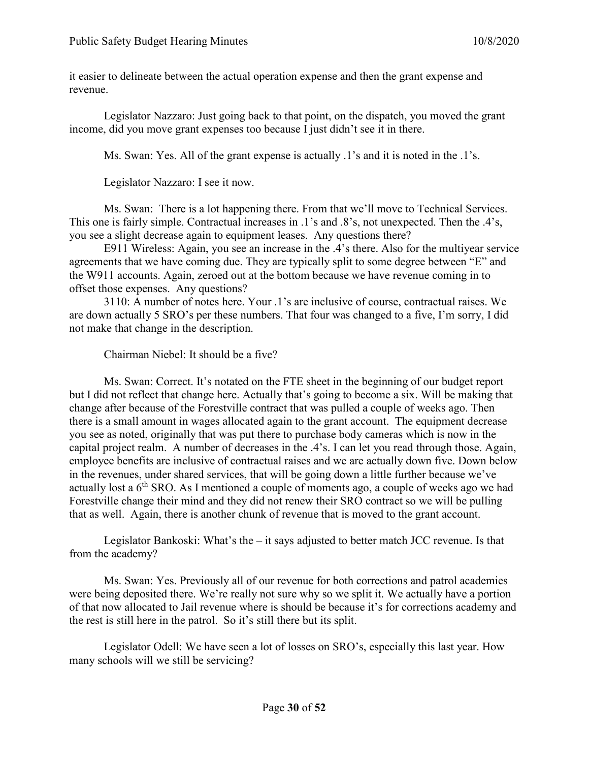it easier to delineate between the actual operation expense and then the grant expense and revenue.

Legislator Nazzaro: Just going back to that point, on the dispatch, you moved the grant income, did you move grant expenses too because I just didn't see it in there.

Ms. Swan: Yes. All of the grant expense is actually  $\cdot$  1's and it is noted in the  $\cdot$  1's.

Legislator Nazzaro: I see it now.

Ms. Swan: There is a lot happening there. From that we'll move to Technical Services. This one is fairly simple. Contractual increases in .1's and .8's, not unexpected. Then the .4's, you see a slight decrease again to equipment leases. Any questions there?

E911 Wireless: Again, you see an increase in the .4's there. Also for the multiyear service agreements that we have coming due. They are typically split to some degree between "E" and the W911 accounts. Again, zeroed out at the bottom because we have revenue coming in to offset those expenses. Any questions?

3110: A number of notes here. Your .1's are inclusive of course, contractual raises. We are down actually 5 SRO's per these numbers. That four was changed to a five, I'm sorry, I did not make that change in the description.

Chairman Niebel: It should be a five?

Ms. Swan: Correct. It's notated on the FTE sheet in the beginning of our budget report but I did not reflect that change here. Actually that's going to become a six. Will be making that change after because of the Forestville contract that was pulled a couple of weeks ago. Then there is a small amount in wages allocated again to the grant account. The equipment decrease you see as noted, originally that was put there to purchase body cameras which is now in the capital project realm. A number of decreases in the .4's. I can let you read through those. Again, employee benefits are inclusive of contractual raises and we are actually down five. Down below in the revenues, under shared services, that will be going down a little further because we've actually lost a 6<sup>th</sup> SRO. As I mentioned a couple of moments ago, a couple of weeks ago we had Forestville change their mind and they did not renew their SRO contract so we will be pulling that as well. Again, there is another chunk of revenue that is moved to the grant account.

Legislator Bankoski: What's the – it says adjusted to better match JCC revenue. Is that from the academy?

Ms. Swan: Yes. Previously all of our revenue for both corrections and patrol academies were being deposited there. We're really not sure why so we split it. We actually have a portion of that now allocated to Jail revenue where is should be because it's for corrections academy and the rest is still here in the patrol. So it's still there but its split.

Legislator Odell: We have seen a lot of losses on SRO's, especially this last year. How many schools will we still be servicing?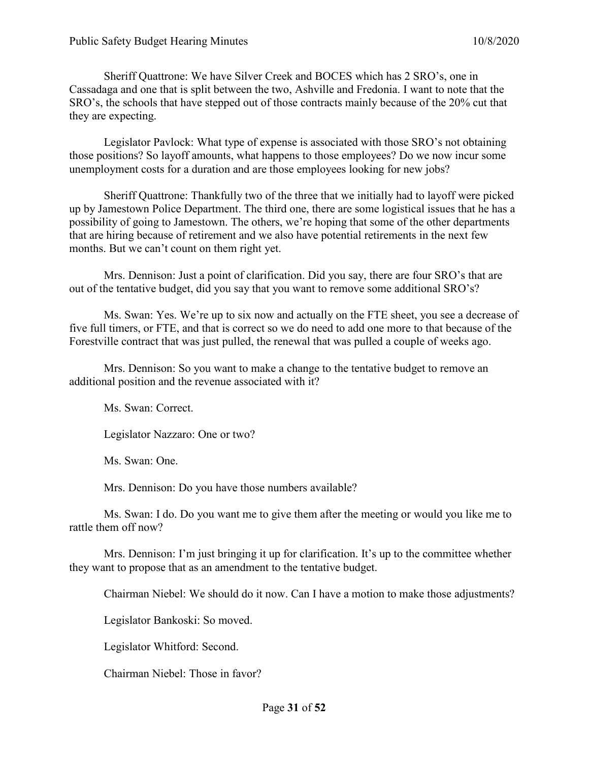Sheriff Quattrone: We have Silver Creek and BOCES which has 2 SRO's, one in Cassadaga and one that is split between the two, Ashville and Fredonia. I want to note that the SRO's, the schools that have stepped out of those contracts mainly because of the 20% cut that they are expecting.

Legislator Pavlock: What type of expense is associated with those SRO's not obtaining those positions? So layoff amounts, what happens to those employees? Do we now incur some unemployment costs for a duration and are those employees looking for new jobs?

Sheriff Quattrone: Thankfully two of the three that we initially had to layoff were picked up by Jamestown Police Department. The third one, there are some logistical issues that he has a possibility of going to Jamestown. The others, we're hoping that some of the other departments that are hiring because of retirement and we also have potential retirements in the next few months. But we can't count on them right yet.

Mrs. Dennison: Just a point of clarification. Did you say, there are four SRO's that are out of the tentative budget, did you say that you want to remove some additional SRO's?

Ms. Swan: Yes. We're up to six now and actually on the FTE sheet, you see a decrease of five full timers, or FTE, and that is correct so we do need to add one more to that because of the Forestville contract that was just pulled, the renewal that was pulled a couple of weeks ago.

Mrs. Dennison: So you want to make a change to the tentative budget to remove an additional position and the revenue associated with it?

Ms. Swan: Correct.

Legislator Nazzaro: One or two?

Ms. Swan: One.

Mrs. Dennison: Do you have those numbers available?

Ms. Swan: I do. Do you want me to give them after the meeting or would you like me to rattle them off now?

Mrs. Dennison: I'm just bringing it up for clarification. It's up to the committee whether they want to propose that as an amendment to the tentative budget.

Chairman Niebel: We should do it now. Can I have a motion to make those adjustments?

Legislator Bankoski: So moved.

Legislator Whitford: Second.

Chairman Niebel: Those in favor?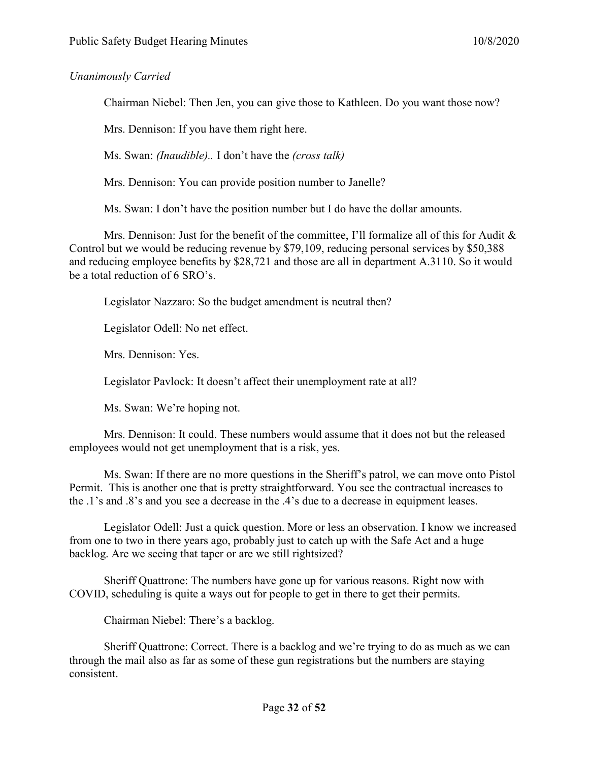# *Unanimously Carried*

Chairman Niebel: Then Jen, you can give those to Kathleen. Do you want those now?

Mrs. Dennison: If you have them right here.

Ms. Swan: *(Inaudible)..* I don't have the *(cross talk)*

Mrs. Dennison: You can provide position number to Janelle?

Ms. Swan: I don't have the position number but I do have the dollar amounts.

Mrs. Dennison: Just for the benefit of the committee, I'll formalize all of this for Audit  $\&$ Control but we would be reducing revenue by \$79,109, reducing personal services by \$50,388 and reducing employee benefits by \$28,721 and those are all in department A.3110. So it would be a total reduction of 6 SRO's.

Legislator Nazzaro: So the budget amendment is neutral then?

Legislator Odell: No net effect.

Mrs. Dennison: Yes.

Legislator Pavlock: It doesn't affect their unemployment rate at all?

Ms. Swan: We're hoping not.

Mrs. Dennison: It could. These numbers would assume that it does not but the released employees would not get unemployment that is a risk, yes.

Ms. Swan: If there are no more questions in the Sheriff's patrol, we can move onto Pistol Permit. This is another one that is pretty straightforward. You see the contractual increases to the .1's and .8's and you see a decrease in the .4's due to a decrease in equipment leases.

Legislator Odell: Just a quick question. More or less an observation. I know we increased from one to two in there years ago, probably just to catch up with the Safe Act and a huge backlog. Are we seeing that taper or are we still rightsized?

Sheriff Quattrone: The numbers have gone up for various reasons. Right now with COVID, scheduling is quite a ways out for people to get in there to get their permits.

Chairman Niebel: There's a backlog.

Sheriff Quattrone: Correct. There is a backlog and we're trying to do as much as we can through the mail also as far as some of these gun registrations but the numbers are staying consistent.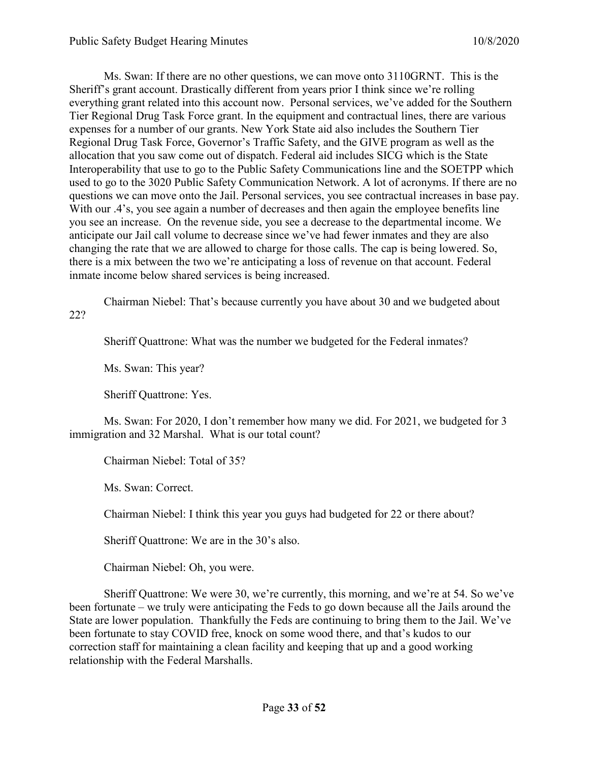Ms. Swan: If there are no other questions, we can move onto 3110GRNT. This is the Sheriff's grant account. Drastically different from years prior I think since we're rolling everything grant related into this account now. Personal services, we've added for the Southern Tier Regional Drug Task Force grant. In the equipment and contractual lines, there are various expenses for a number of our grants. New York State aid also includes the Southern Tier Regional Drug Task Force, Governor's Traffic Safety, and the GIVE program as well as the allocation that you saw come out of dispatch. Federal aid includes SICG which is the State Interoperability that use to go to the Public Safety Communications line and the SOETPP which used to go to the 3020 Public Safety Communication Network. A lot of acronyms. If there are no questions we can move onto the Jail. Personal services, you see contractual increases in base pay. With our .4's, you see again a number of decreases and then again the employee benefits line you see an increase. On the revenue side, you see a decrease to the departmental income. We anticipate our Jail call volume to decrease since we've had fewer inmates and they are also changing the rate that we are allowed to charge for those calls. The cap is being lowered. So, there is a mix between the two we're anticipating a loss of revenue on that account. Federal inmate income below shared services is being increased.

Chairman Niebel: That's because currently you have about 30 and we budgeted about 22?

Sheriff Quattrone: What was the number we budgeted for the Federal inmates?

Ms. Swan: This year?

Sheriff Quattrone: Yes.

Ms. Swan: For 2020, I don't remember how many we did. For 2021, we budgeted for 3 immigration and 32 Marshal. What is our total count?

Chairman Niebel: Total of 35?

Ms. Swan: Correct.

Chairman Niebel: I think this year you guys had budgeted for 22 or there about?

Sheriff Quattrone: We are in the 30's also.

Chairman Niebel: Oh, you were.

Sheriff Quattrone: We were 30, we're currently, this morning, and we're at 54. So we've been fortunate – we truly were anticipating the Feds to go down because all the Jails around the State are lower population. Thankfully the Feds are continuing to bring them to the Jail. We've been fortunate to stay COVID free, knock on some wood there, and that's kudos to our correction staff for maintaining a clean facility and keeping that up and a good working relationship with the Federal Marshalls.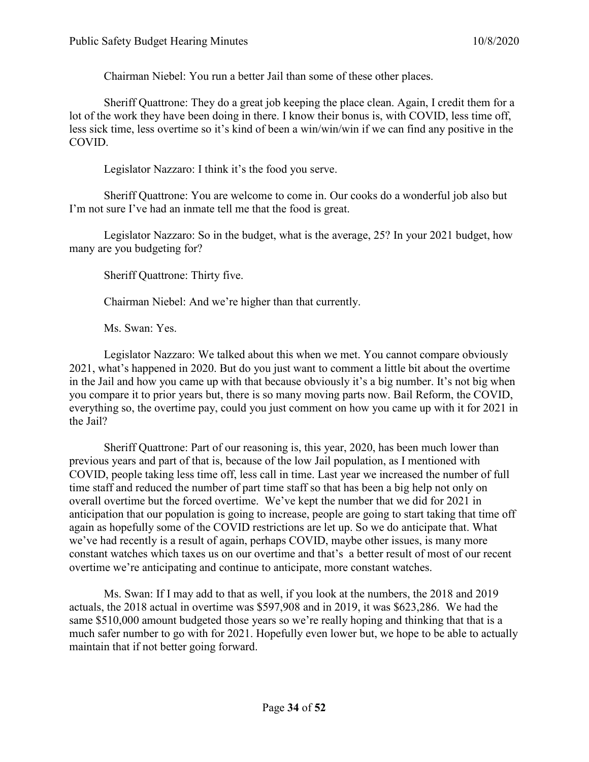Chairman Niebel: You run a better Jail than some of these other places.

Sheriff Quattrone: They do a great job keeping the place clean. Again, I credit them for a lot of the work they have been doing in there. I know their bonus is, with COVID, less time off, less sick time, less overtime so it's kind of been a win/win/win if we can find any positive in the COVID.

Legislator Nazzaro: I think it's the food you serve.

Sheriff Quattrone: You are welcome to come in. Our cooks do a wonderful job also but I'm not sure I've had an inmate tell me that the food is great.

Legislator Nazzaro: So in the budget, what is the average, 25? In your 2021 budget, how many are you budgeting for?

Sheriff Quattrone: Thirty five.

Chairman Niebel: And we're higher than that currently.

Ms. Swan: Yes.

Legislator Nazzaro: We talked about this when we met. You cannot compare obviously 2021, what's happened in 2020. But do you just want to comment a little bit about the overtime in the Jail and how you came up with that because obviously it's a big number. It's not big when you compare it to prior years but, there is so many moving parts now. Bail Reform, the COVID, everything so, the overtime pay, could you just comment on how you came up with it for 2021 in the Jail?

Sheriff Quattrone: Part of our reasoning is, this year, 2020, has been much lower than previous years and part of that is, because of the low Jail population, as I mentioned with COVID, people taking less time off, less call in time. Last year we increased the number of full time staff and reduced the number of part time staff so that has been a big help not only on overall overtime but the forced overtime. We've kept the number that we did for 2021 in anticipation that our population is going to increase, people are going to start taking that time off again as hopefully some of the COVID restrictions are let up. So we do anticipate that. What we've had recently is a result of again, perhaps COVID, maybe other issues, is many more constant watches which taxes us on our overtime and that's a better result of most of our recent overtime we're anticipating and continue to anticipate, more constant watches.

Ms. Swan: If I may add to that as well, if you look at the numbers, the 2018 and 2019 actuals, the 2018 actual in overtime was \$597,908 and in 2019, it was \$623,286. We had the same \$510,000 amount budgeted those years so we're really hoping and thinking that that is a much safer number to go with for 2021. Hopefully even lower but, we hope to be able to actually maintain that if not better going forward.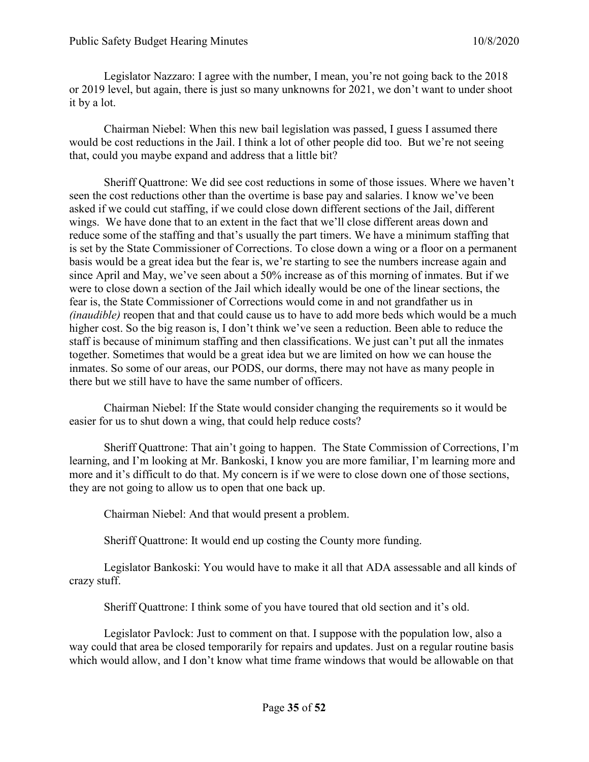Legislator Nazzaro: I agree with the number, I mean, you're not going back to the 2018 or 2019 level, but again, there is just so many unknowns for 2021, we don't want to under shoot it by a lot.

Chairman Niebel: When this new bail legislation was passed, I guess I assumed there would be cost reductions in the Jail. I think a lot of other people did too. But we're not seeing that, could you maybe expand and address that a little bit?

Sheriff Quattrone: We did see cost reductions in some of those issues. Where we haven't seen the cost reductions other than the overtime is base pay and salaries. I know we've been asked if we could cut staffing, if we could close down different sections of the Jail, different wings. We have done that to an extent in the fact that we'll close different areas down and reduce some of the staffing and that's usually the part timers. We have a minimum staffing that is set by the State Commissioner of Corrections. To close down a wing or a floor on a permanent basis would be a great idea but the fear is, we're starting to see the numbers increase again and since April and May, we've seen about a 50% increase as of this morning of inmates. But if we were to close down a section of the Jail which ideally would be one of the linear sections, the fear is, the State Commissioner of Corrections would come in and not grandfather us in *(inaudible)* reopen that and that could cause us to have to add more beds which would be a much higher cost. So the big reason is, I don't think we've seen a reduction. Been able to reduce the staff is because of minimum staffing and then classifications. We just can't put all the inmates together. Sometimes that would be a great idea but we are limited on how we can house the inmates. So some of our areas, our PODS, our dorms, there may not have as many people in there but we still have to have the same number of officers.

Chairman Niebel: If the State would consider changing the requirements so it would be easier for us to shut down a wing, that could help reduce costs?

Sheriff Quattrone: That ain't going to happen. The State Commission of Corrections, I'm learning, and I'm looking at Mr. Bankoski, I know you are more familiar, I'm learning more and more and it's difficult to do that. My concern is if we were to close down one of those sections, they are not going to allow us to open that one back up.

Chairman Niebel: And that would present a problem.

Sheriff Quattrone: It would end up costing the County more funding.

Legislator Bankoski: You would have to make it all that ADA assessable and all kinds of crazy stuff.

Sheriff Quattrone: I think some of you have toured that old section and it's old.

Legislator Pavlock: Just to comment on that. I suppose with the population low, also a way could that area be closed temporarily for repairs and updates. Just on a regular routine basis which would allow, and I don't know what time frame windows that would be allowable on that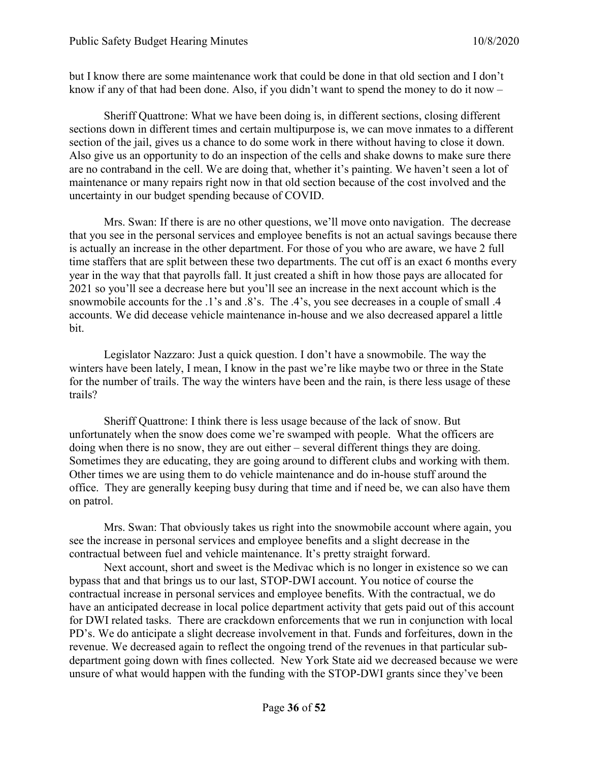but I know there are some maintenance work that could be done in that old section and I don't know if any of that had been done. Also, if you didn't want to spend the money to do it now –

Sheriff Quattrone: What we have been doing is, in different sections, closing different sections down in different times and certain multipurpose is, we can move inmates to a different section of the jail, gives us a chance to do some work in there without having to close it down. Also give us an opportunity to do an inspection of the cells and shake downs to make sure there are no contraband in the cell. We are doing that, whether it's painting. We haven't seen a lot of maintenance or many repairs right now in that old section because of the cost involved and the uncertainty in our budget spending because of COVID.

Mrs. Swan: If there is are no other questions, we'll move onto navigation. The decrease that you see in the personal services and employee benefits is not an actual savings because there is actually an increase in the other department. For those of you who are aware, we have 2 full time staffers that are split between these two departments. The cut off is an exact 6 months every year in the way that that payrolls fall. It just created a shift in how those pays are allocated for 2021 so you'll see a decrease here but you'll see an increase in the next account which is the snowmobile accounts for the .1's and .8's. The .4's, you see decreases in a couple of small .4 accounts. We did decease vehicle maintenance in-house and we also decreased apparel a little bit.

Legislator Nazzaro: Just a quick question. I don't have a snowmobile. The way the winters have been lately, I mean, I know in the past we're like maybe two or three in the State for the number of trails. The way the winters have been and the rain, is there less usage of these trails?

Sheriff Quattrone: I think there is less usage because of the lack of snow. But unfortunately when the snow does come we're swamped with people. What the officers are doing when there is no snow, they are out either – several different things they are doing. Sometimes they are educating, they are going around to different clubs and working with them. Other times we are using them to do vehicle maintenance and do in-house stuff around the office. They are generally keeping busy during that time and if need be, we can also have them on patrol.

Mrs. Swan: That obviously takes us right into the snowmobile account where again, you see the increase in personal services and employee benefits and a slight decrease in the contractual between fuel and vehicle maintenance. It's pretty straight forward.

Next account, short and sweet is the Medivac which is no longer in existence so we can bypass that and that brings us to our last, STOP-DWI account. You notice of course the contractual increase in personal services and employee benefits. With the contractual, we do have an anticipated decrease in local police department activity that gets paid out of this account for DWI related tasks. There are crackdown enforcements that we run in conjunction with local PD's. We do anticipate a slight decrease involvement in that. Funds and forfeitures, down in the revenue. We decreased again to reflect the ongoing trend of the revenues in that particular subdepartment going down with fines collected. New York State aid we decreased because we were unsure of what would happen with the funding with the STOP-DWI grants since they've been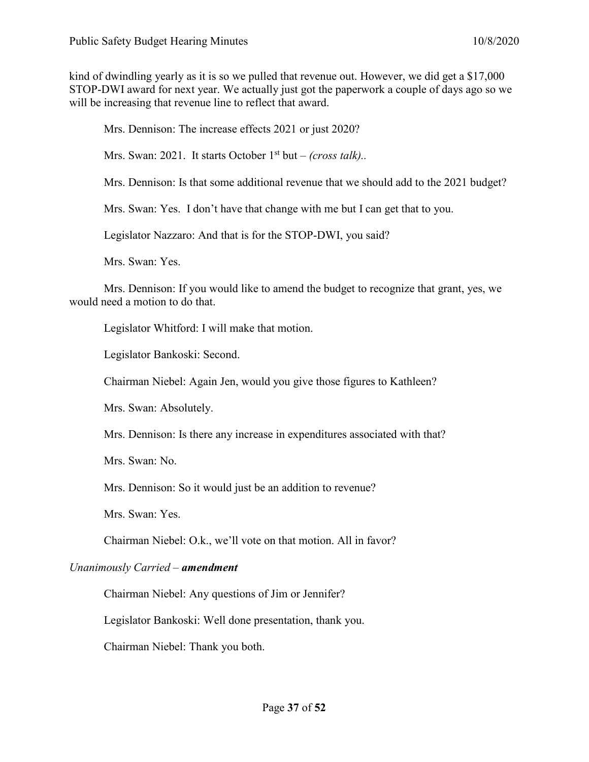kind of dwindling yearly as it is so we pulled that revenue out. However, we did get a \$17,000 STOP-DWI award for next year. We actually just got the paperwork a couple of days ago so we will be increasing that revenue line to reflect that award.

Mrs. Dennison: The increase effects 2021 or just 2020?

Mrs. Swan: 2021. It starts October 1<sup>st</sup> but – *(cross talk).*.

Mrs. Dennison: Is that some additional revenue that we should add to the 2021 budget?

Mrs. Swan: Yes. I don't have that change with me but I can get that to you.

Legislator Nazzaro: And that is for the STOP-DWI, you said?

Mrs. Swan: Yes.

Mrs. Dennison: If you would like to amend the budget to recognize that grant, yes, we would need a motion to do that.

Legislator Whitford: I will make that motion.

Legislator Bankoski: Second.

Chairman Niebel: Again Jen, would you give those figures to Kathleen?

Mrs. Swan: Absolutely.

Mrs. Dennison: Is there any increase in expenditures associated with that?

Mrs. Swan: No.

Mrs. Dennison: So it would just be an addition to revenue?

Mrs. Swan: Yes.

Chairman Niebel: O.k., we'll vote on that motion. All in favor?

#### *Unanimously Carried – amendment*

Chairman Niebel: Any questions of Jim or Jennifer?

Legislator Bankoski: Well done presentation, thank you.

Chairman Niebel: Thank you both.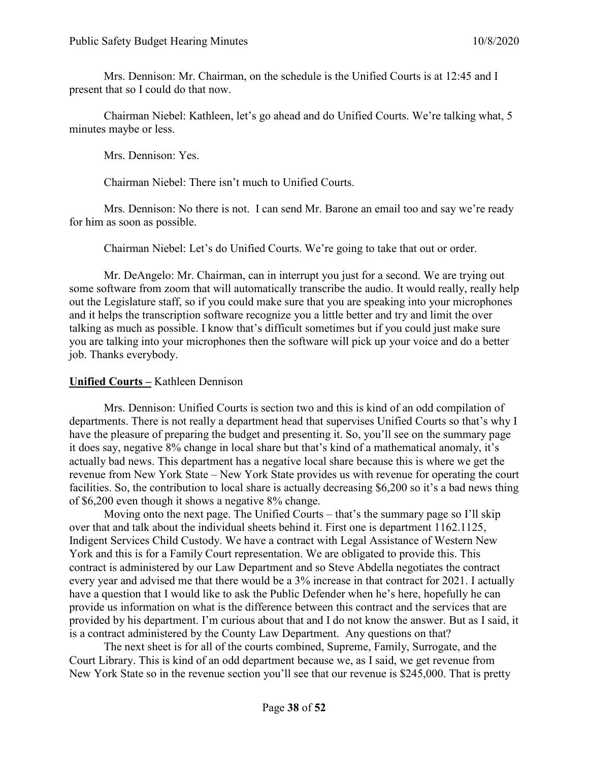Mrs. Dennison: Mr. Chairman, on the schedule is the Unified Courts is at 12:45 and I present that so I could do that now.

Chairman Niebel: Kathleen, let's go ahead and do Unified Courts. We're talking what, 5 minutes maybe or less.

Mrs. Dennison: Yes.

Chairman Niebel: There isn't much to Unified Courts.

Mrs. Dennison: No there is not. I can send Mr. Barone an email too and say we're ready for him as soon as possible.

Chairman Niebel: Let's do Unified Courts. We're going to take that out or order.

Mr. DeAngelo: Mr. Chairman, can in interrupt you just for a second. We are trying out some software from zoom that will automatically transcribe the audio. It would really, really help out the Legislature staff, so if you could make sure that you are speaking into your microphones and it helps the transcription software recognize you a little better and try and limit the over talking as much as possible. I know that's difficult sometimes but if you could just make sure you are talking into your microphones then the software will pick up your voice and do a better job. Thanks everybody.

### **Unified Courts –** Kathleen Dennison

Mrs. Dennison: Unified Courts is section two and this is kind of an odd compilation of departments. There is not really a department head that supervises Unified Courts so that's why I have the pleasure of preparing the budget and presenting it. So, you'll see on the summary page it does say, negative 8% change in local share but that's kind of a mathematical anomaly, it's actually bad news. This department has a negative local share because this is where we get the revenue from New York State – New York State provides us with revenue for operating the court facilities. So, the contribution to local share is actually decreasing \$6,200 so it's a bad news thing of \$6,200 even though it shows a negative 8% change.

Moving onto the next page. The Unified Courts – that's the summary page so I'll skip over that and talk about the individual sheets behind it. First one is department 1162.1125, Indigent Services Child Custody. We have a contract with Legal Assistance of Western New York and this is for a Family Court representation. We are obligated to provide this. This contract is administered by our Law Department and so Steve Abdella negotiates the contract every year and advised me that there would be a 3% increase in that contract for 2021. I actually have a question that I would like to ask the Public Defender when he's here, hopefully he can provide us information on what is the difference between this contract and the services that are provided by his department. I'm curious about that and I do not know the answer. But as I said, it is a contract administered by the County Law Department. Any questions on that?

The next sheet is for all of the courts combined, Supreme, Family, Surrogate, and the Court Library. This is kind of an odd department because we, as I said, we get revenue from New York State so in the revenue section you'll see that our revenue is \$245,000. That is pretty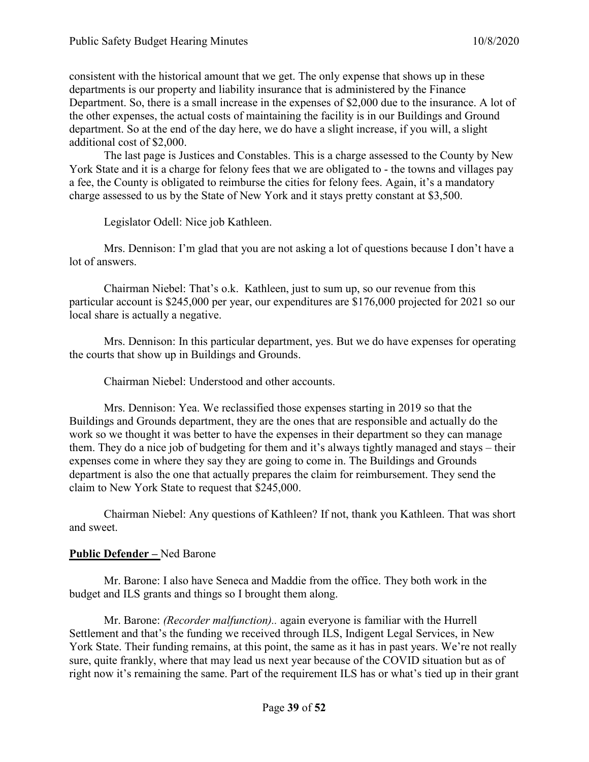consistent with the historical amount that we get. The only expense that shows up in these departments is our property and liability insurance that is administered by the Finance Department. So, there is a small increase in the expenses of \$2,000 due to the insurance. A lot of the other expenses, the actual costs of maintaining the facility is in our Buildings and Ground department. So at the end of the day here, we do have a slight increase, if you will, a slight additional cost of \$2,000.

The last page is Justices and Constables. This is a charge assessed to the County by New York State and it is a charge for felony fees that we are obligated to - the towns and villages pay a fee, the County is obligated to reimburse the cities for felony fees. Again, it's a mandatory charge assessed to us by the State of New York and it stays pretty constant at \$3,500.

Legislator Odell: Nice job Kathleen.

Mrs. Dennison: I'm glad that you are not asking a lot of questions because I don't have a lot of answers.

Chairman Niebel: That's o.k. Kathleen, just to sum up, so our revenue from this particular account is \$245,000 per year, our expenditures are \$176,000 projected for 2021 so our local share is actually a negative.

Mrs. Dennison: In this particular department, yes. But we do have expenses for operating the courts that show up in Buildings and Grounds.

Chairman Niebel: Understood and other accounts.

Mrs. Dennison: Yea. We reclassified those expenses starting in 2019 so that the Buildings and Grounds department, they are the ones that are responsible and actually do the work so we thought it was better to have the expenses in their department so they can manage them. They do a nice job of budgeting for them and it's always tightly managed and stays – their expenses come in where they say they are going to come in. The Buildings and Grounds department is also the one that actually prepares the claim for reimbursement. They send the claim to New York State to request that \$245,000.

Chairman Niebel: Any questions of Kathleen? If not, thank you Kathleen. That was short and sweet.

# **Public Defender –** Ned Barone

Mr. Barone: I also have Seneca and Maddie from the office. They both work in the budget and ILS grants and things so I brought them along.

Mr. Barone: *(Recorder malfunction)..* again everyone is familiar with the Hurrell Settlement and that's the funding we received through ILS, Indigent Legal Services, in New York State. Their funding remains, at this point, the same as it has in past years. We're not really sure, quite frankly, where that may lead us next year because of the COVID situation but as of right now it's remaining the same. Part of the requirement ILS has or what's tied up in their grant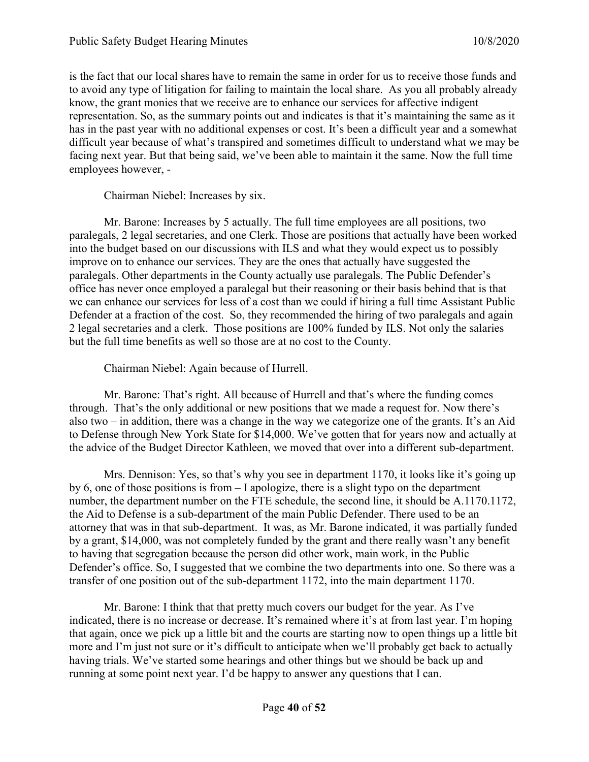is the fact that our local shares have to remain the same in order for us to receive those funds and to avoid any type of litigation for failing to maintain the local share. As you all probably already know, the grant monies that we receive are to enhance our services for affective indigent representation. So, as the summary points out and indicates is that it's maintaining the same as it has in the past year with no additional expenses or cost. It's been a difficult year and a somewhat difficult year because of what's transpired and sometimes difficult to understand what we may be facing next year. But that being said, we've been able to maintain it the same. Now the full time employees however, -

Chairman Niebel: Increases by six.

Mr. Barone: Increases by 5 actually. The full time employees are all positions, two paralegals, 2 legal secretaries, and one Clerk. Those are positions that actually have been worked into the budget based on our discussions with ILS and what they would expect us to possibly improve on to enhance our services. They are the ones that actually have suggested the paralegals. Other departments in the County actually use paralegals. The Public Defender's office has never once employed a paralegal but their reasoning or their basis behind that is that we can enhance our services for less of a cost than we could if hiring a full time Assistant Public Defender at a fraction of the cost. So, they recommended the hiring of two paralegals and again 2 legal secretaries and a clerk. Those positions are 100% funded by ILS. Not only the salaries but the full time benefits as well so those are at no cost to the County.

Chairman Niebel: Again because of Hurrell.

Mr. Barone: That's right. All because of Hurrell and that's where the funding comes through. That's the only additional or new positions that we made a request for. Now there's also two – in addition, there was a change in the way we categorize one of the grants. It's an Aid to Defense through New York State for \$14,000. We've gotten that for years now and actually at the advice of the Budget Director Kathleen, we moved that over into a different sub-department.

Mrs. Dennison: Yes, so that's why you see in department 1170, it looks like it's going up by 6, one of those positions is from – I apologize, there is a slight typo on the department number, the department number on the FTE schedule, the second line, it should be A.1170.1172, the Aid to Defense is a sub-department of the main Public Defender. There used to be an attorney that was in that sub-department. It was, as Mr. Barone indicated, it was partially funded by a grant, \$14,000, was not completely funded by the grant and there really wasn't any benefit to having that segregation because the person did other work, main work, in the Public Defender's office. So, I suggested that we combine the two departments into one. So there was a transfer of one position out of the sub-department 1172, into the main department 1170.

Mr. Barone: I think that that pretty much covers our budget for the year. As I've indicated, there is no increase or decrease. It's remained where it's at from last year. I'm hoping that again, once we pick up a little bit and the courts are starting now to open things up a little bit more and I'm just not sure or it's difficult to anticipate when we'll probably get back to actually having trials. We've started some hearings and other things but we should be back up and running at some point next year. I'd be happy to answer any questions that I can.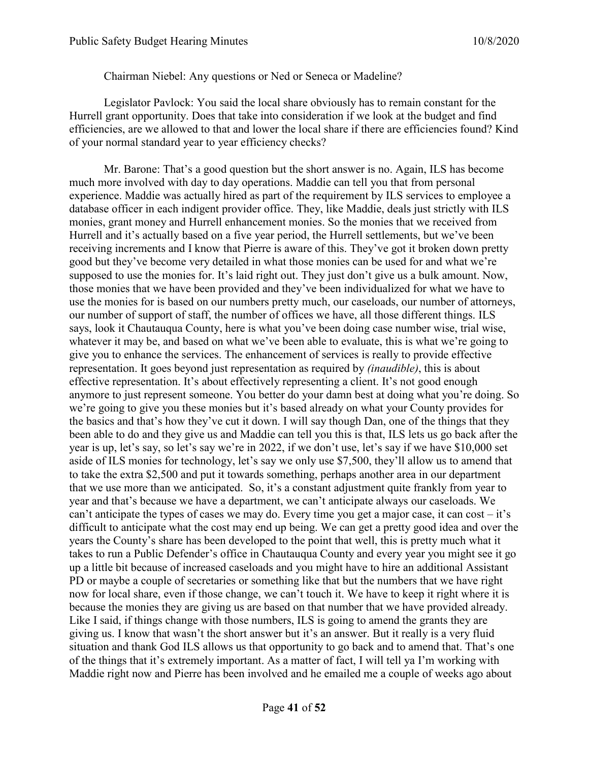Chairman Niebel: Any questions or Ned or Seneca or Madeline?

Legislator Pavlock: You said the local share obviously has to remain constant for the Hurrell grant opportunity. Does that take into consideration if we look at the budget and find efficiencies, are we allowed to that and lower the local share if there are efficiencies found? Kind of your normal standard year to year efficiency checks?

Mr. Barone: That's a good question but the short answer is no. Again, ILS has become much more involved with day to day operations. Maddie can tell you that from personal experience. Maddie was actually hired as part of the requirement by ILS services to employee a database officer in each indigent provider office. They, like Maddie, deals just strictly with ILS monies, grant money and Hurrell enhancement monies. So the monies that we received from Hurrell and it's actually based on a five year period, the Hurrell settlements, but we've been receiving increments and I know that Pierre is aware of this. They've got it broken down pretty good but they've become very detailed in what those monies can be used for and what we're supposed to use the monies for. It's laid right out. They just don't give us a bulk amount. Now, those monies that we have been provided and they've been individualized for what we have to use the monies for is based on our numbers pretty much, our caseloads, our number of attorneys, our number of support of staff, the number of offices we have, all those different things. ILS says, look it Chautauqua County, here is what you've been doing case number wise, trial wise, whatever it may be, and based on what we've been able to evaluate, this is what we're going to give you to enhance the services. The enhancement of services is really to provide effective representation. It goes beyond just representation as required by *(inaudible)*, this is about effective representation. It's about effectively representing a client. It's not good enough anymore to just represent someone. You better do your damn best at doing what you're doing. So we're going to give you these monies but it's based already on what your County provides for the basics and that's how they've cut it down. I will say though Dan, one of the things that they been able to do and they give us and Maddie can tell you this is that, ILS lets us go back after the year is up, let's say, so let's say we're in 2022, if we don't use, let's say if we have \$10,000 set aside of ILS monies for technology, let's say we only use \$7,500, they'll allow us to amend that to take the extra \$2,500 and put it towards something, perhaps another area in our department that we use more than we anticipated. So, it's a constant adjustment quite frankly from year to year and that's because we have a department, we can't anticipate always our caseloads. We can't anticipate the types of cases we may do. Every time you get a major case, it can cost – it's difficult to anticipate what the cost may end up being. We can get a pretty good idea and over the years the County's share has been developed to the point that well, this is pretty much what it takes to run a Public Defender's office in Chautauqua County and every year you might see it go up a little bit because of increased caseloads and you might have to hire an additional Assistant PD or maybe a couple of secretaries or something like that but the numbers that we have right now for local share, even if those change, we can't touch it. We have to keep it right where it is because the monies they are giving us are based on that number that we have provided already. Like I said, if things change with those numbers, ILS is going to amend the grants they are giving us. I know that wasn't the short answer but it's an answer. But it really is a very fluid situation and thank God ILS allows us that opportunity to go back and to amend that. That's one of the things that it's extremely important. As a matter of fact, I will tell ya I'm working with Maddie right now and Pierre has been involved and he emailed me a couple of weeks ago about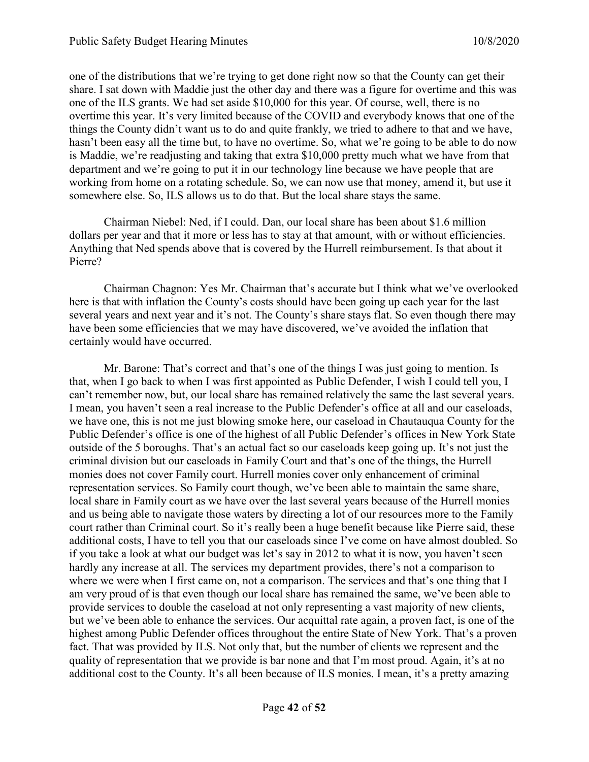one of the distributions that we're trying to get done right now so that the County can get their share. I sat down with Maddie just the other day and there was a figure for overtime and this was one of the ILS grants. We had set aside \$10,000 for this year. Of course, well, there is no overtime this year. It's very limited because of the COVID and everybody knows that one of the things the County didn't want us to do and quite frankly, we tried to adhere to that and we have, hasn't been easy all the time but, to have no overtime. So, what we're going to be able to do now is Maddie, we're readjusting and taking that extra \$10,000 pretty much what we have from that department and we're going to put it in our technology line because we have people that are working from home on a rotating schedule. So, we can now use that money, amend it, but use it somewhere else. So, ILS allows us to do that. But the local share stays the same.

Chairman Niebel: Ned, if I could. Dan, our local share has been about \$1.6 million dollars per year and that it more or less has to stay at that amount, with or without efficiencies. Anything that Ned spends above that is covered by the Hurrell reimbursement. Is that about it Pierre?

Chairman Chagnon: Yes Mr. Chairman that's accurate but I think what we've overlooked here is that with inflation the County's costs should have been going up each year for the last several years and next year and it's not. The County's share stays flat. So even though there may have been some efficiencies that we may have discovered, we've avoided the inflation that certainly would have occurred.

Mr. Barone: That's correct and that's one of the things I was just going to mention. Is that, when I go back to when I was first appointed as Public Defender, I wish I could tell you, I can't remember now, but, our local share has remained relatively the same the last several years. I mean, you haven't seen a real increase to the Public Defender's office at all and our caseloads, we have one, this is not me just blowing smoke here, our caseload in Chautauqua County for the Public Defender's office is one of the highest of all Public Defender's offices in New York State outside of the 5 boroughs. That's an actual fact so our caseloads keep going up. It's not just the criminal division but our caseloads in Family Court and that's one of the things, the Hurrell monies does not cover Family court. Hurrell monies cover only enhancement of criminal representation services. So Family court though, we've been able to maintain the same share, local share in Family court as we have over the last several years because of the Hurrell monies and us being able to navigate those waters by directing a lot of our resources more to the Family court rather than Criminal court. So it's really been a huge benefit because like Pierre said, these additional costs, I have to tell you that our caseloads since I've come on have almost doubled. So if you take a look at what our budget was let's say in 2012 to what it is now, you haven't seen hardly any increase at all. The services my department provides, there's not a comparison to where we were when I first came on, not a comparison. The services and that's one thing that I am very proud of is that even though our local share has remained the same, we've been able to provide services to double the caseload at not only representing a vast majority of new clients, but we've been able to enhance the services. Our acquittal rate again, a proven fact, is one of the highest among Public Defender offices throughout the entire State of New York. That's a proven fact. That was provided by ILS. Not only that, but the number of clients we represent and the quality of representation that we provide is bar none and that I'm most proud. Again, it's at no additional cost to the County. It's all been because of ILS monies. I mean, it's a pretty amazing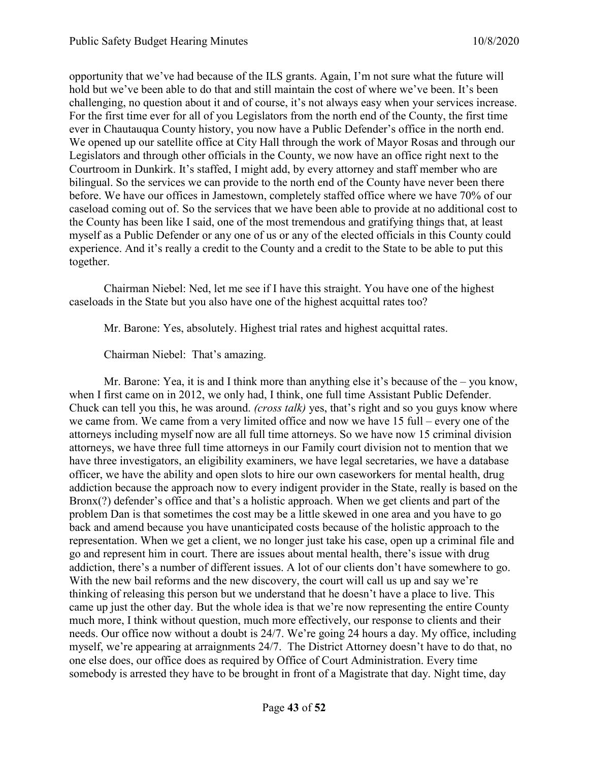opportunity that we've had because of the ILS grants. Again, I'm not sure what the future will hold but we've been able to do that and still maintain the cost of where we've been. It's been challenging, no question about it and of course, it's not always easy when your services increase. For the first time ever for all of you Legislators from the north end of the County, the first time ever in Chautauqua County history, you now have a Public Defender's office in the north end. We opened up our satellite office at City Hall through the work of Mayor Rosas and through our Legislators and through other officials in the County, we now have an office right next to the Courtroom in Dunkirk. It's staffed, I might add, by every attorney and staff member who are bilingual. So the services we can provide to the north end of the County have never been there before. We have our offices in Jamestown, completely staffed office where we have 70% of our caseload coming out of. So the services that we have been able to provide at no additional cost to the County has been like I said, one of the most tremendous and gratifying things that, at least myself as a Public Defender or any one of us or any of the elected officials in this County could experience. And it's really a credit to the County and a credit to the State to be able to put this together.

Chairman Niebel: Ned, let me see if I have this straight. You have one of the highest caseloads in the State but you also have one of the highest acquittal rates too?

Mr. Barone: Yes, absolutely. Highest trial rates and highest acquittal rates.

Chairman Niebel: That's amazing.

Mr. Barone: Yea, it is and I think more than anything else it's because of the – you know, when I first came on in 2012, we only had, I think, one full time Assistant Public Defender. Chuck can tell you this, he was around. *(cross talk)* yes, that's right and so you guys know where we came from. We came from a very limited office and now we have 15 full – every one of the attorneys including myself now are all full time attorneys. So we have now 15 criminal division attorneys, we have three full time attorneys in our Family court division not to mention that we have three investigators, an eligibility examiners, we have legal secretaries, we have a database officer, we have the ability and open slots to hire our own caseworkers for mental health, drug addiction because the approach now to every indigent provider in the State, really is based on the Bronx(?) defender's office and that's a holistic approach. When we get clients and part of the problem Dan is that sometimes the cost may be a little skewed in one area and you have to go back and amend because you have unanticipated costs because of the holistic approach to the representation. When we get a client, we no longer just take his case, open up a criminal file and go and represent him in court. There are issues about mental health, there's issue with drug addiction, there's a number of different issues. A lot of our clients don't have somewhere to go. With the new bail reforms and the new discovery, the court will call us up and say we're thinking of releasing this person but we understand that he doesn't have a place to live. This came up just the other day. But the whole idea is that we're now representing the entire County much more, I think without question, much more effectively, our response to clients and their needs. Our office now without a doubt is 24/7. We're going 24 hours a day. My office, including myself, we're appearing at arraignments 24/7. The District Attorney doesn't have to do that, no one else does, our office does as required by Office of Court Administration. Every time somebody is arrested they have to be brought in front of a Magistrate that day. Night time, day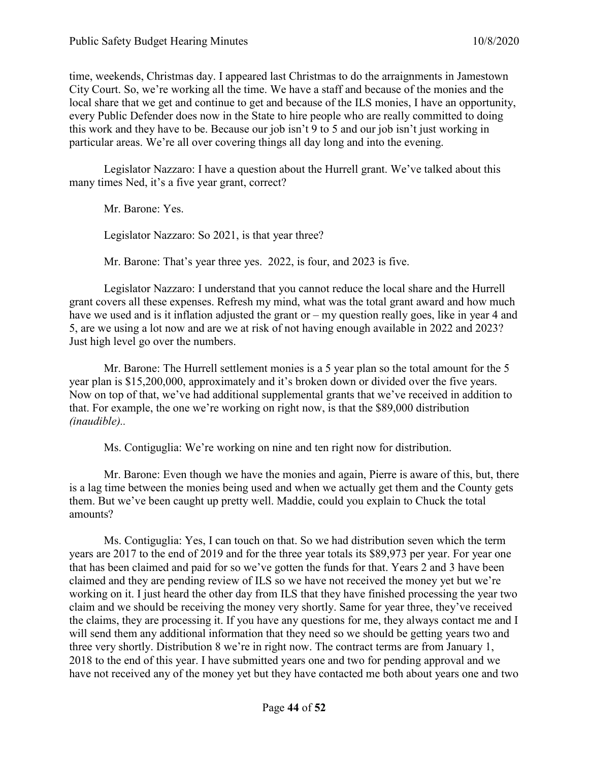time, weekends, Christmas day. I appeared last Christmas to do the arraignments in Jamestown City Court. So, we're working all the time. We have a staff and because of the monies and the local share that we get and continue to get and because of the ILS monies, I have an opportunity, every Public Defender does now in the State to hire people who are really committed to doing this work and they have to be. Because our job isn't 9 to 5 and our job isn't just working in particular areas. We're all over covering things all day long and into the evening.

Legislator Nazzaro: I have a question about the Hurrell grant. We've talked about this many times Ned, it's a five year grant, correct?

Mr. Barone: Yes.

Legislator Nazzaro: So 2021, is that year three?

Mr. Barone: That's year three yes. 2022, is four, and 2023 is five.

Legislator Nazzaro: I understand that you cannot reduce the local share and the Hurrell grant covers all these expenses. Refresh my mind, what was the total grant award and how much have we used and is it inflation adjusted the grant or – my question really goes, like in year 4 and 5, are we using a lot now and are we at risk of not having enough available in 2022 and 2023? Just high level go over the numbers.

Mr. Barone: The Hurrell settlement monies is a 5 year plan so the total amount for the 5 year plan is \$15,200,000, approximately and it's broken down or divided over the five years. Now on top of that, we've had additional supplemental grants that we've received in addition to that. For example, the one we're working on right now, is that the \$89,000 distribution *(inaudible)..*

Ms. Contiguglia: We're working on nine and ten right now for distribution.

Mr. Barone: Even though we have the monies and again, Pierre is aware of this, but, there is a lag time between the monies being used and when we actually get them and the County gets them. But we've been caught up pretty well. Maddie, could you explain to Chuck the total amounts?

Ms. Contiguglia: Yes, I can touch on that. So we had distribution seven which the term years are 2017 to the end of 2019 and for the three year totals its \$89,973 per year. For year one that has been claimed and paid for so we've gotten the funds for that. Years 2 and 3 have been claimed and they are pending review of ILS so we have not received the money yet but we're working on it. I just heard the other day from ILS that they have finished processing the year two claim and we should be receiving the money very shortly. Same for year three, they've received the claims, they are processing it. If you have any questions for me, they always contact me and I will send them any additional information that they need so we should be getting years two and three very shortly. Distribution 8 we're in right now. The contract terms are from January 1, 2018 to the end of this year. I have submitted years one and two for pending approval and we have not received any of the money yet but they have contacted me both about years one and two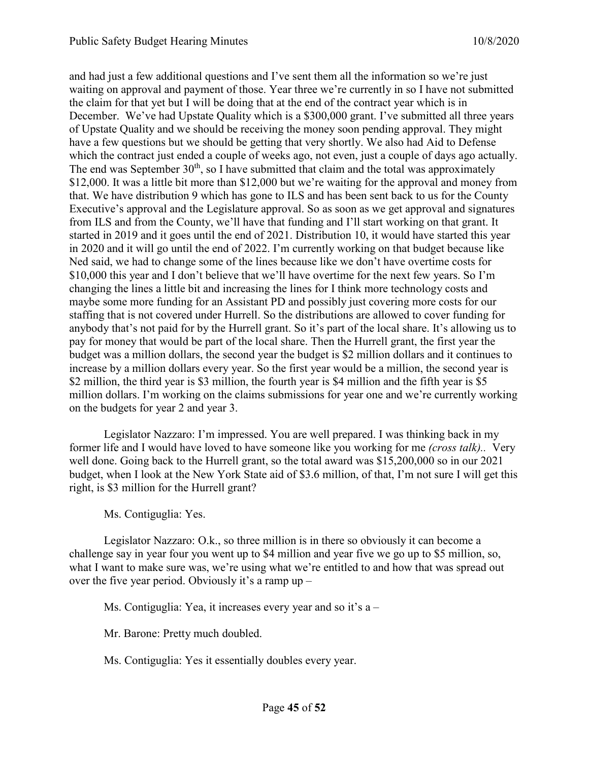and had just a few additional questions and I've sent them all the information so we're just waiting on approval and payment of those. Year three we're currently in so I have not submitted the claim for that yet but I will be doing that at the end of the contract year which is in December. We've had Upstate Quality which is a \$300,000 grant. I've submitted all three years of Upstate Quality and we should be receiving the money soon pending approval. They might have a few questions but we should be getting that very shortly. We also had Aid to Defense which the contract just ended a couple of weeks ago, not even, just a couple of days ago actually. The end was September  $30<sup>th</sup>$ , so I have submitted that claim and the total was approximately \$12,000. It was a little bit more than \$12,000 but we're waiting for the approval and money from that. We have distribution 9 which has gone to ILS and has been sent back to us for the County Executive's approval and the Legislature approval. So as soon as we get approval and signatures from ILS and from the County, we'll have that funding and I'll start working on that grant. It started in 2019 and it goes until the end of 2021. Distribution 10, it would have started this year in 2020 and it will go until the end of 2022. I'm currently working on that budget because like Ned said, we had to change some of the lines because like we don't have overtime costs for \$10,000 this year and I don't believe that we'll have overtime for the next few years. So I'm changing the lines a little bit and increasing the lines for I think more technology costs and maybe some more funding for an Assistant PD and possibly just covering more costs for our staffing that is not covered under Hurrell. So the distributions are allowed to cover funding for anybody that's not paid for by the Hurrell grant. So it's part of the local share. It's allowing us to pay for money that would be part of the local share. Then the Hurrell grant, the first year the budget was a million dollars, the second year the budget is \$2 million dollars and it continues to increase by a million dollars every year. So the first year would be a million, the second year is \$2 million, the third year is \$3 million, the fourth year is \$4 million and the fifth year is \$5 million dollars. I'm working on the claims submissions for year one and we're currently working on the budgets for year 2 and year 3.

Legislator Nazzaro: I'm impressed. You are well prepared. I was thinking back in my former life and I would have loved to have someone like you working for me *(cross talk)..* Very well done. Going back to the Hurrell grant, so the total award was \$15,200,000 so in our 2021 budget, when I look at the New York State aid of \$3.6 million, of that, I'm not sure I will get this right, is \$3 million for the Hurrell grant?

Ms. Contiguglia: Yes.

Legislator Nazzaro: O.k., so three million is in there so obviously it can become a challenge say in year four you went up to \$4 million and year five we go up to \$5 million, so, what I want to make sure was, we're using what we're entitled to and how that was spread out over the five year period. Obviously it's a ramp up  $-$ 

Ms. Contiguglia: Yea, it increases every year and so it's  $a -$ 

Mr. Barone: Pretty much doubled.

Ms. Contiguglia: Yes it essentially doubles every year.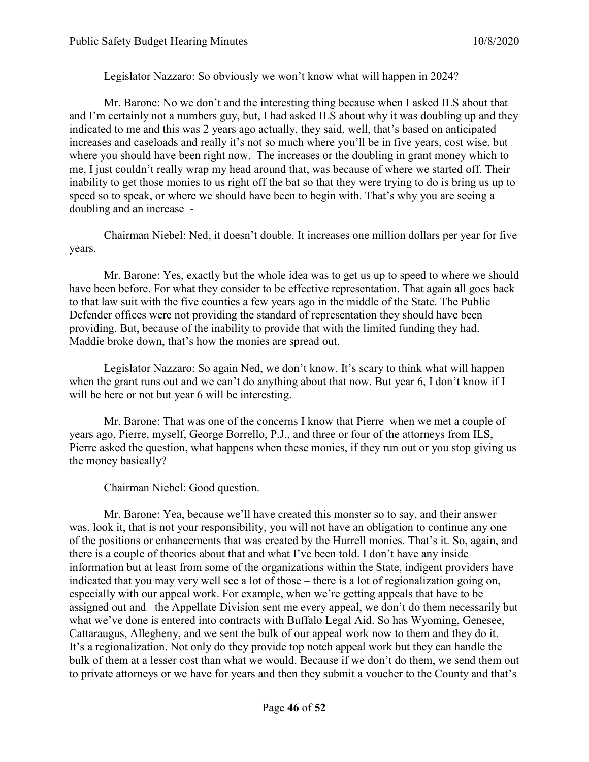# Legislator Nazzaro: So obviously we won't know what will happen in 2024?

Mr. Barone: No we don't and the interesting thing because when I asked ILS about that and I'm certainly not a numbers guy, but, I had asked ILS about why it was doubling up and they indicated to me and this was 2 years ago actually, they said, well, that's based on anticipated increases and caseloads and really it's not so much where you'll be in five years, cost wise, but where you should have been right now. The increases or the doubling in grant money which to me, I just couldn't really wrap my head around that, was because of where we started off. Their inability to get those monies to us right off the bat so that they were trying to do is bring us up to speed so to speak, or where we should have been to begin with. That's why you are seeing a doubling and an increase -

Chairman Niebel: Ned, it doesn't double. It increases one million dollars per year for five years.

Mr. Barone: Yes, exactly but the whole idea was to get us up to speed to where we should have been before. For what they consider to be effective representation. That again all goes back to that law suit with the five counties a few years ago in the middle of the State. The Public Defender offices were not providing the standard of representation they should have been providing. But, because of the inability to provide that with the limited funding they had. Maddie broke down, that's how the monies are spread out.

Legislator Nazzaro: So again Ned, we don't know. It's scary to think what will happen when the grant runs out and we can't do anything about that now. But year 6, I don't know if I will be here or not but year 6 will be interesting.

Mr. Barone: That was one of the concerns I know that Pierre when we met a couple of years ago, Pierre, myself, George Borrello, P.J., and three or four of the attorneys from ILS, Pierre asked the question, what happens when these monies, if they run out or you stop giving us the money basically?

Chairman Niebel: Good question.

Mr. Barone: Yea, because we'll have created this monster so to say, and their answer was, look it, that is not your responsibility, you will not have an obligation to continue any one of the positions or enhancements that was created by the Hurrell monies. That's it. So, again, and there is a couple of theories about that and what I've been told. I don't have any inside information but at least from some of the organizations within the State, indigent providers have indicated that you may very well see a lot of those – there is a lot of regionalization going on, especially with our appeal work. For example, when we're getting appeals that have to be assigned out and the Appellate Division sent me every appeal, we don't do them necessarily but what we've done is entered into contracts with Buffalo Legal Aid. So has Wyoming, Genesee, Cattaraugus, Allegheny, and we sent the bulk of our appeal work now to them and they do it. It's a regionalization. Not only do they provide top notch appeal work but they can handle the bulk of them at a lesser cost than what we would. Because if we don't do them, we send them out to private attorneys or we have for years and then they submit a voucher to the County and that's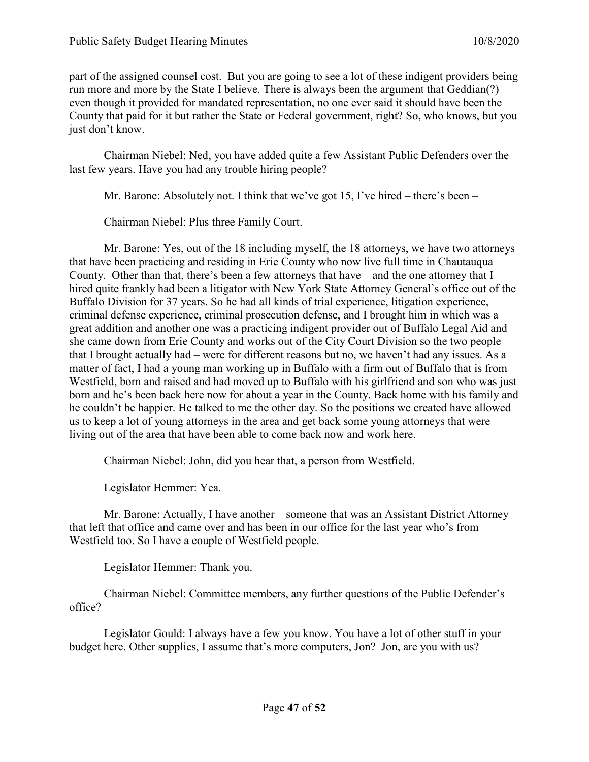part of the assigned counsel cost. But you are going to see a lot of these indigent providers being run more and more by the State I believe. There is always been the argument that Geddian(?) even though it provided for mandated representation, no one ever said it should have been the County that paid for it but rather the State or Federal government, right? So, who knows, but you just don't know.

Chairman Niebel: Ned, you have added quite a few Assistant Public Defenders over the last few years. Have you had any trouble hiring people?

Mr. Barone: Absolutely not. I think that we've got 15, I've hired – there's been –

Chairman Niebel: Plus three Family Court.

Mr. Barone: Yes, out of the 18 including myself, the 18 attorneys, we have two attorneys that have been practicing and residing in Erie County who now live full time in Chautauqua County. Other than that, there's been a few attorneys that have – and the one attorney that I hired quite frankly had been a litigator with New York State Attorney General's office out of the Buffalo Division for 37 years. So he had all kinds of trial experience, litigation experience, criminal defense experience, criminal prosecution defense, and I brought him in which was a great addition and another one was a practicing indigent provider out of Buffalo Legal Aid and she came down from Erie County and works out of the City Court Division so the two people that I brought actually had – were for different reasons but no, we haven't had any issues. As a matter of fact, I had a young man working up in Buffalo with a firm out of Buffalo that is from Westfield, born and raised and had moved up to Buffalo with his girlfriend and son who was just born and he's been back here now for about a year in the County. Back home with his family and he couldn't be happier. He talked to me the other day. So the positions we created have allowed us to keep a lot of young attorneys in the area and get back some young attorneys that were living out of the area that have been able to come back now and work here.

Chairman Niebel: John, did you hear that, a person from Westfield.

Legislator Hemmer: Yea.

Mr. Barone: Actually, I have another – someone that was an Assistant District Attorney that left that office and came over and has been in our office for the last year who's from Westfield too. So I have a couple of Westfield people.

Legislator Hemmer: Thank you.

Chairman Niebel: Committee members, any further questions of the Public Defender's office?

Legislator Gould: I always have a few you know. You have a lot of other stuff in your budget here. Other supplies, I assume that's more computers, Jon? Jon, are you with us?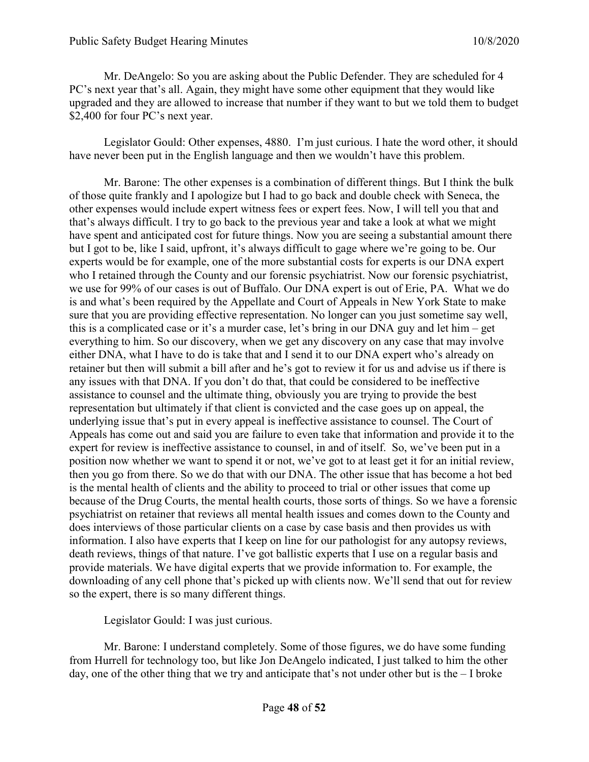Mr. DeAngelo: So you are asking about the Public Defender. They are scheduled for 4 PC's next year that's all. Again, they might have some other equipment that they would like upgraded and they are allowed to increase that number if they want to but we told them to budget \$2,400 for four PC's next year.

Legislator Gould: Other expenses, 4880. I'm just curious. I hate the word other, it should have never been put in the English language and then we wouldn't have this problem.

Mr. Barone: The other expenses is a combination of different things. But I think the bulk of those quite frankly and I apologize but I had to go back and double check with Seneca, the other expenses would include expert witness fees or expert fees. Now, I will tell you that and that's always difficult. I try to go back to the previous year and take a look at what we might have spent and anticipated cost for future things. Now you are seeing a substantial amount there but I got to be, like I said, upfront, it's always difficult to gage where we're going to be. Our experts would be for example, one of the more substantial costs for experts is our DNA expert who I retained through the County and our forensic psychiatrist. Now our forensic psychiatrist, we use for 99% of our cases is out of Buffalo. Our DNA expert is out of Erie, PA. What we do is and what's been required by the Appellate and Court of Appeals in New York State to make sure that you are providing effective representation. No longer can you just sometime say well, this is a complicated case or it's a murder case, let's bring in our DNA guy and let him – get everything to him. So our discovery, when we get any discovery on any case that may involve either DNA, what I have to do is take that and I send it to our DNA expert who's already on retainer but then will submit a bill after and he's got to review it for us and advise us if there is any issues with that DNA. If you don't do that, that could be considered to be ineffective assistance to counsel and the ultimate thing, obviously you are trying to provide the best representation but ultimately if that client is convicted and the case goes up on appeal, the underlying issue that's put in every appeal is ineffective assistance to counsel. The Court of Appeals has come out and said you are failure to even take that information and provide it to the expert for review is ineffective assistance to counsel, in and of itself. So, we've been put in a position now whether we want to spend it or not, we've got to at least get it for an initial review, then you go from there. So we do that with our DNA. The other issue that has become a hot bed is the mental health of clients and the ability to proceed to trial or other issues that come up because of the Drug Courts, the mental health courts, those sorts of things. So we have a forensic psychiatrist on retainer that reviews all mental health issues and comes down to the County and does interviews of those particular clients on a case by case basis and then provides us with information. I also have experts that I keep on line for our pathologist for any autopsy reviews, death reviews, things of that nature. I've got ballistic experts that I use on a regular basis and provide materials. We have digital experts that we provide information to. For example, the downloading of any cell phone that's picked up with clients now. We'll send that out for review so the expert, there is so many different things.

Legislator Gould: I was just curious.

Mr. Barone: I understand completely. Some of those figures, we do have some funding from Hurrell for technology too, but like Jon DeAngelo indicated, I just talked to him the other day, one of the other thing that we try and anticipate that's not under other but is the – I broke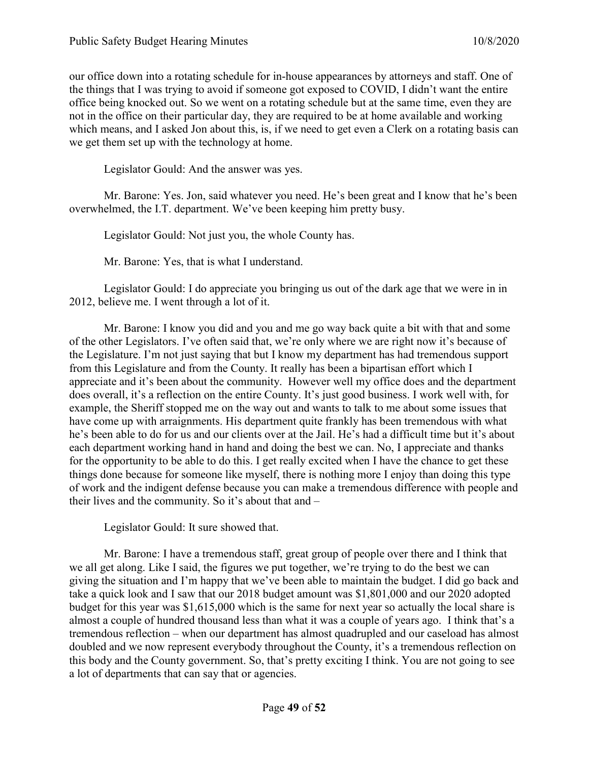our office down into a rotating schedule for in-house appearances by attorneys and staff. One of the things that I was trying to avoid if someone got exposed to COVID, I didn't want the entire office being knocked out. So we went on a rotating schedule but at the same time, even they are not in the office on their particular day, they are required to be at home available and working which means, and I asked Jon about this, is, if we need to get even a Clerk on a rotating basis can we get them set up with the technology at home.

Legislator Gould: And the answer was yes.

Mr. Barone: Yes. Jon, said whatever you need. He's been great and I know that he's been overwhelmed, the I.T. department. We've been keeping him pretty busy.

Legislator Gould: Not just you, the whole County has.

Mr. Barone: Yes, that is what I understand.

Legislator Gould: I do appreciate you bringing us out of the dark age that we were in in 2012, believe me. I went through a lot of it.

Mr. Barone: I know you did and you and me go way back quite a bit with that and some of the other Legislators. I've often said that, we're only where we are right now it's because of the Legislature. I'm not just saying that but I know my department has had tremendous support from this Legislature and from the County. It really has been a bipartisan effort which I appreciate and it's been about the community. However well my office does and the department does overall, it's a reflection on the entire County. It's just good business. I work well with, for example, the Sheriff stopped me on the way out and wants to talk to me about some issues that have come up with arraignments. His department quite frankly has been tremendous with what he's been able to do for us and our clients over at the Jail. He's had a difficult time but it's about each department working hand in hand and doing the best we can. No, I appreciate and thanks for the opportunity to be able to do this. I get really excited when I have the chance to get these things done because for someone like myself, there is nothing more I enjoy than doing this type of work and the indigent defense because you can make a tremendous difference with people and their lives and the community. So it's about that and –

Legislator Gould: It sure showed that.

Mr. Barone: I have a tremendous staff, great group of people over there and I think that we all get along. Like I said, the figures we put together, we're trying to do the best we can giving the situation and I'm happy that we've been able to maintain the budget. I did go back and take a quick look and I saw that our 2018 budget amount was \$1,801,000 and our 2020 adopted budget for this year was \$1,615,000 which is the same for next year so actually the local share is almost a couple of hundred thousand less than what it was a couple of years ago. I think that's a tremendous reflection – when our department has almost quadrupled and our caseload has almost doubled and we now represent everybody throughout the County, it's a tremendous reflection on this body and the County government. So, that's pretty exciting I think. You are not going to see a lot of departments that can say that or agencies.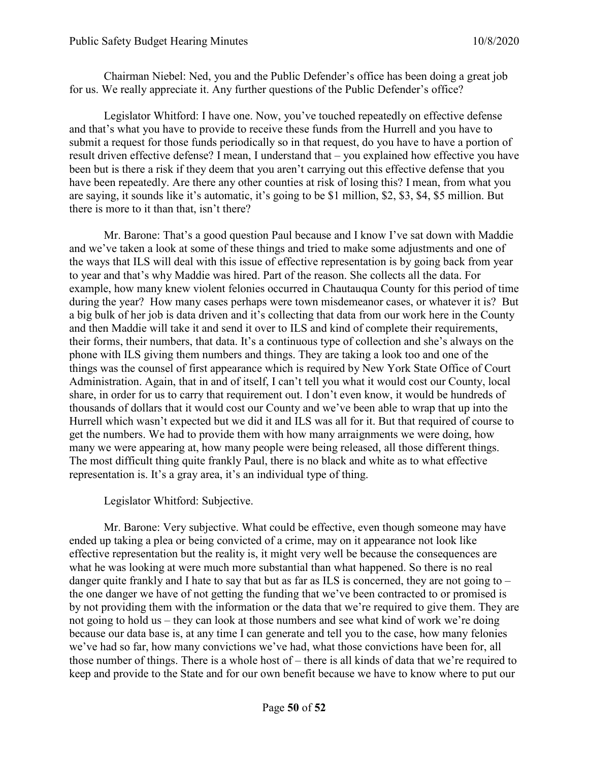Chairman Niebel: Ned, you and the Public Defender's office has been doing a great job for us. We really appreciate it. Any further questions of the Public Defender's office?

Legislator Whitford: I have one. Now, you've touched repeatedly on effective defense and that's what you have to provide to receive these funds from the Hurrell and you have to submit a request for those funds periodically so in that request, do you have to have a portion of result driven effective defense? I mean, I understand that – you explained how effective you have been but is there a risk if they deem that you aren't carrying out this effective defense that you have been repeatedly. Are there any other counties at risk of losing this? I mean, from what you are saying, it sounds like it's automatic, it's going to be \$1 million, \$2, \$3, \$4, \$5 million. But there is more to it than that, isn't there?

Mr. Barone: That's a good question Paul because and I know I've sat down with Maddie and we've taken a look at some of these things and tried to make some adjustments and one of the ways that ILS will deal with this issue of effective representation is by going back from year to year and that's why Maddie was hired. Part of the reason. She collects all the data. For example, how many knew violent felonies occurred in Chautauqua County for this period of time during the year? How many cases perhaps were town misdemeanor cases, or whatever it is? But a big bulk of her job is data driven and it's collecting that data from our work here in the County and then Maddie will take it and send it over to ILS and kind of complete their requirements, their forms, their numbers, that data. It's a continuous type of collection and she's always on the phone with ILS giving them numbers and things. They are taking a look too and one of the things was the counsel of first appearance which is required by New York State Office of Court Administration. Again, that in and of itself, I can't tell you what it would cost our County, local share, in order for us to carry that requirement out. I don't even know, it would be hundreds of thousands of dollars that it would cost our County and we've been able to wrap that up into the Hurrell which wasn't expected but we did it and ILS was all for it. But that required of course to get the numbers. We had to provide them with how many arraignments we were doing, how many we were appearing at, how many people were being released, all those different things. The most difficult thing quite frankly Paul, there is no black and white as to what effective representation is. It's a gray area, it's an individual type of thing.

Legislator Whitford: Subjective.

Mr. Barone: Very subjective. What could be effective, even though someone may have ended up taking a plea or being convicted of a crime, may on it appearance not look like effective representation but the reality is, it might very well be because the consequences are what he was looking at were much more substantial than what happened. So there is no real danger quite frankly and I hate to say that but as far as ILS is concerned, they are not going to  $$ the one danger we have of not getting the funding that we've been contracted to or promised is by not providing them with the information or the data that we're required to give them. They are not going to hold us – they can look at those numbers and see what kind of work we're doing because our data base is, at any time I can generate and tell you to the case, how many felonies we've had so far, how many convictions we've had, what those convictions have been for, all those number of things. There is a whole host of – there is all kinds of data that we're required to keep and provide to the State and for our own benefit because we have to know where to put our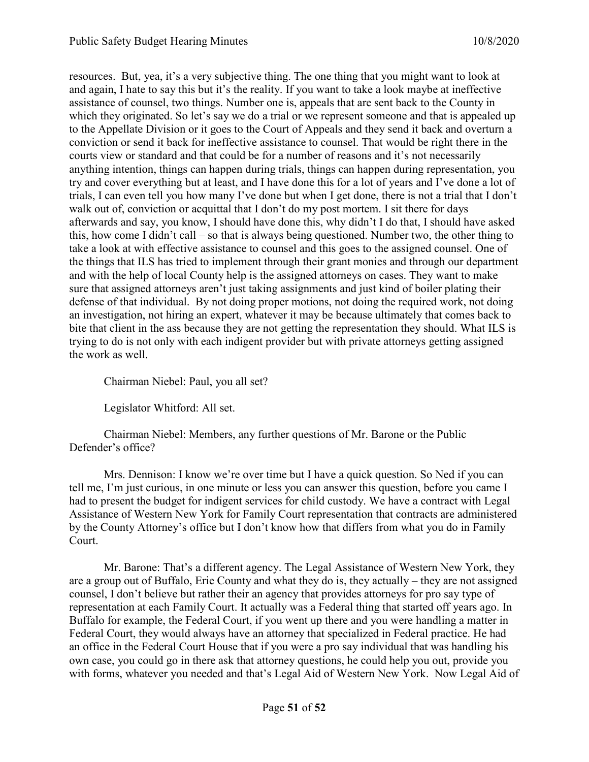resources. But, yea, it's a very subjective thing. The one thing that you might want to look at and again, I hate to say this but it's the reality. If you want to take a look maybe at ineffective assistance of counsel, two things. Number one is, appeals that are sent back to the County in which they originated. So let's say we do a trial or we represent someone and that is appealed up to the Appellate Division or it goes to the Court of Appeals and they send it back and overturn a conviction or send it back for ineffective assistance to counsel. That would be right there in the courts view or standard and that could be for a number of reasons and it's not necessarily anything intention, things can happen during trials, things can happen during representation, you try and cover everything but at least, and I have done this for a lot of years and I've done a lot of trials, I can even tell you how many I've done but when I get done, there is not a trial that I don't walk out of, conviction or acquittal that I don't do my post mortem. I sit there for days afterwards and say, you know, I should have done this, why didn't I do that, I should have asked this, how come I didn't call – so that is always being questioned. Number two, the other thing to take a look at with effective assistance to counsel and this goes to the assigned counsel. One of the things that ILS has tried to implement through their grant monies and through our department and with the help of local County help is the assigned attorneys on cases. They want to make sure that assigned attorneys aren't just taking assignments and just kind of boiler plating their defense of that individual. By not doing proper motions, not doing the required work, not doing an investigation, not hiring an expert, whatever it may be because ultimately that comes back to bite that client in the ass because they are not getting the representation they should. What ILS is trying to do is not only with each indigent provider but with private attorneys getting assigned the work as well.

Chairman Niebel: Paul, you all set?

Legislator Whitford: All set.

Chairman Niebel: Members, any further questions of Mr. Barone or the Public Defender's office?

Mrs. Dennison: I know we're over time but I have a quick question. So Ned if you can tell me, I'm just curious, in one minute or less you can answer this question, before you came I had to present the budget for indigent services for child custody. We have a contract with Legal Assistance of Western New York for Family Court representation that contracts are administered by the County Attorney's office but I don't know how that differs from what you do in Family Court.

Mr. Barone: That's a different agency. The Legal Assistance of Western New York, they are a group out of Buffalo, Erie County and what they do is, they actually – they are not assigned counsel, I don't believe but rather their an agency that provides attorneys for pro say type of representation at each Family Court. It actually was a Federal thing that started off years ago. In Buffalo for example, the Federal Court, if you went up there and you were handling a matter in Federal Court, they would always have an attorney that specialized in Federal practice. He had an office in the Federal Court House that if you were a pro say individual that was handling his own case, you could go in there ask that attorney questions, he could help you out, provide you with forms, whatever you needed and that's Legal Aid of Western New York. Now Legal Aid of